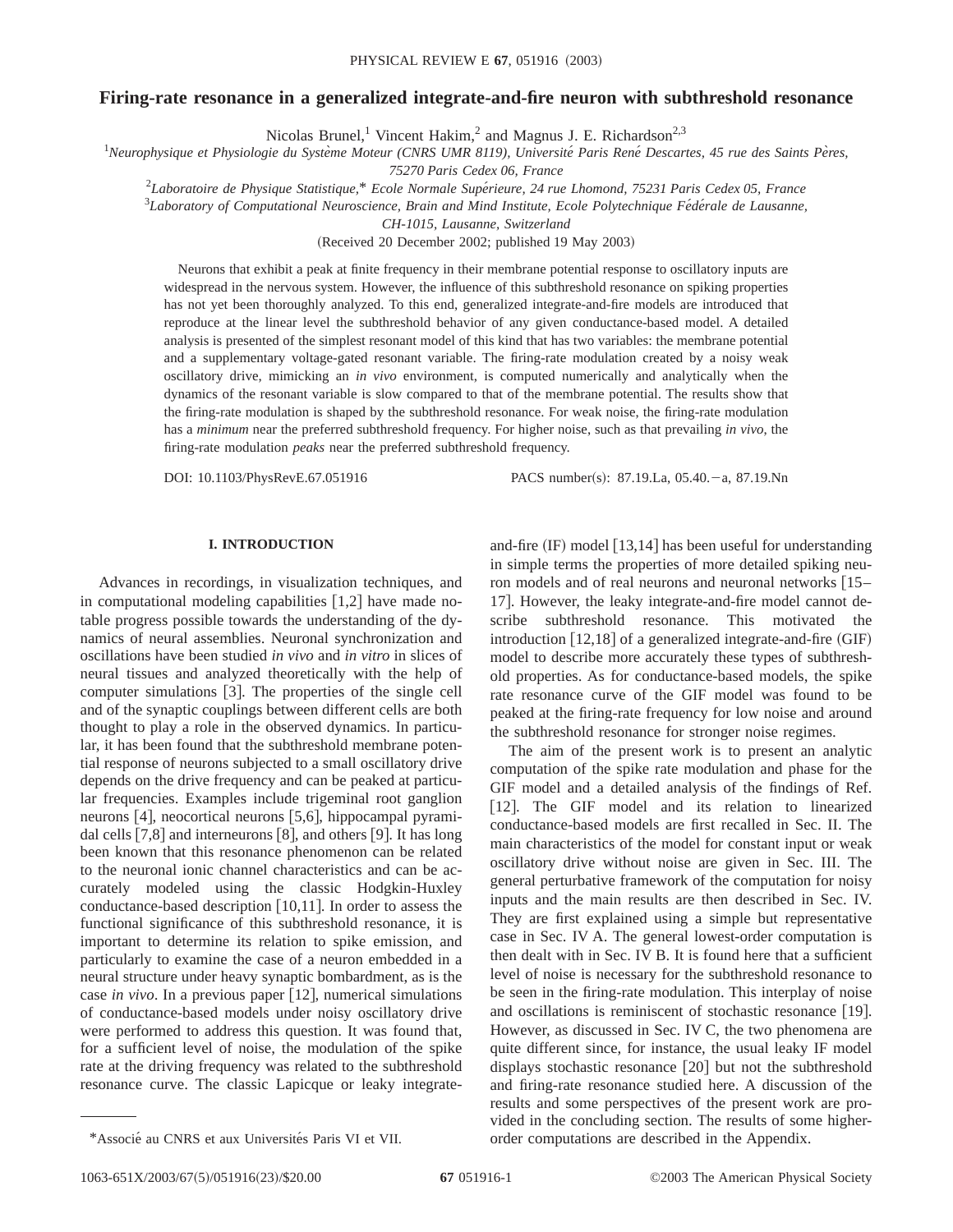# **Firing-rate resonance in a generalized integrate-and-fire neuron with subthreshold resonance**

Nicolas Brunel,<sup>1</sup> Vincent Hakim,<sup>2</sup> and Magnus J. E. Richardson<sup>2,3</sup>

<sup>1</sup>Neurophysique et Physiologie du Système Moteur (CNRS UMR 8119), Université Paris René Descartes, 45 rue des Saints Pères,

*75270 Paris Cedex 06, France*

2 *Laboratoire de Physique Statistique,*\* *Ecole Normale Supe´rieure, 24 rue Lhomond, 75231 Paris Cedex 05, France*

<sup>3</sup>Laboratory of Computational Neuroscience, Brain and Mind Institute, Ecole Polytechnique Fédérale de Lausanne,

*CH-1015, Lausanne, Switzerland*

(Received 20 December 2002; published 19 May 2003)

Neurons that exhibit a peak at finite frequency in their membrane potential response to oscillatory inputs are widespread in the nervous system. However, the influence of this subthreshold resonance on spiking properties has not yet been thoroughly analyzed. To this end, generalized integrate-and-fire models are introduced that reproduce at the linear level the subthreshold behavior of any given conductance-based model. A detailed analysis is presented of the simplest resonant model of this kind that has two variables: the membrane potential and a supplementary voltage-gated resonant variable. The firing-rate modulation created by a noisy weak oscillatory drive, mimicking an *in vivo* environment, is computed numerically and analytically when the dynamics of the resonant variable is slow compared to that of the membrane potential. The results show that the firing-rate modulation is shaped by the subthreshold resonance. For weak noise, the firing-rate modulation has a *minimum* near the preferred subthreshold frequency. For higher noise, such as that prevailing *in vivo*, the firing-rate modulation *peaks* near the preferred subthreshold frequency.

DOI: 10.1103/PhysRevE.67.051916 PACS number(s): 87.19.La, 05.40. - a, 87.19.Nn

### **I. INTRODUCTION**

Advances in recordings, in visualization techniques, and in computational modeling capabilities  $[1,2]$  have made notable progress possible towards the understanding of the dynamics of neural assemblies. Neuronal synchronization and oscillations have been studied *in vivo* and *in vitro* in slices of neural tissues and analyzed theoretically with the help of computer simulations  $[3]$ . The properties of the single cell and of the synaptic couplings between different cells are both thought to play a role in the observed dynamics. In particular, it has been found that the subthreshold membrane potential response of neurons subjected to a small oscillatory drive depends on the drive frequency and can be peaked at particular frequencies. Examples include trigeminal root ganglion neurons  $[4]$ , neocortical neurons  $[5,6]$ , hippocampal pyramidal cells  $[7,8]$  and interneurons  $[8]$ , and others  $[9]$ . It has long been known that this resonance phenomenon can be related to the neuronal ionic channel characteristics and can be accurately modeled using the classic Hodgkin-Huxley conductance-based description  $[10,11]$ . In order to assess the functional significance of this subthreshold resonance, it is important to determine its relation to spike emission, and particularly to examine the case of a neuron embedded in a neural structure under heavy synaptic bombardment, as is the case *in vivo*. In a previous paper  $\lceil 12 \rceil$ , numerical simulations of conductance-based models under noisy oscillatory drive were performed to address this question. It was found that, for a sufficient level of noise, the modulation of the spike rate at the driving frequency was related to the subthreshold resonance curve. The classic Lapicque or leaky integrateand-fire  $(\text{IF})$  model  $[13,14]$  has been useful for understanding in simple terms the properties of more detailed spiking neuron models and of real neurons and neuronal networks [15– 17. However, the leaky integrate-and-fire model cannot describe subthreshold resonance. This motivated the introduction  $[12,18]$  of a generalized integrate-and-fire  $(GIF)$ model to describe more accurately these types of subthreshold properties. As for conductance-based models, the spike rate resonance curve of the GIF model was found to be peaked at the firing-rate frequency for low noise and around the subthreshold resonance for stronger noise regimes.

The aim of the present work is to present an analytic computation of the spike rate modulation and phase for the GIF model and a detailed analysis of the findings of Ref. [12]. The GIF model and its relation to linearized conductance-based models are first recalled in Sec. II. The main characteristics of the model for constant input or weak oscillatory drive without noise are given in Sec. III. The general perturbative framework of the computation for noisy inputs and the main results are then described in Sec. IV. They are first explained using a simple but representative case in Sec. IV A. The general lowest-order computation is then dealt with in Sec. IV B. It is found here that a sufficient level of noise is necessary for the subthreshold resonance to be seen in the firing-rate modulation. This interplay of noise and oscillations is reminiscent of stochastic resonance  $[19]$ . However, as discussed in Sec. IV C, the two phenomena are quite different since, for instance, the usual leaky IF model displays stochastic resonance  $[20]$  but not the subthreshold and firing-rate resonance studied here. A discussion of the results and some perspectives of the present work are provided in the concluding section. The results of some higher- \*Associé au CNRS et aux Universités Paris VI et VII. order computations are described in the Appendix.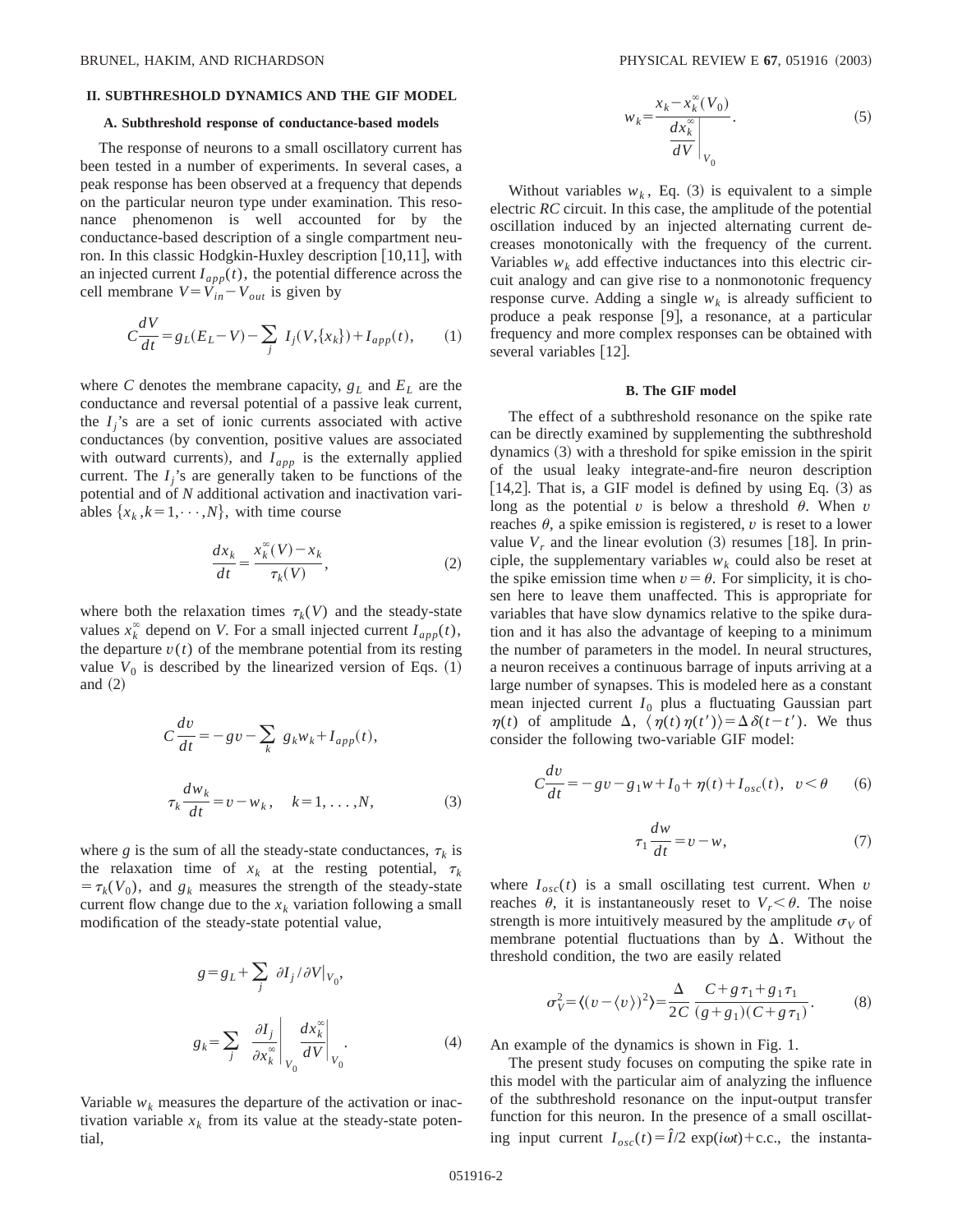### **II. SUBTHRESHOLD DYNAMICS AND THE GIF MODEL**

#### **A. Subthreshold response of conductance-based models**

The response of neurons to a small oscillatory current has been tested in a number of experiments. In several cases, a peak response has been observed at a frequency that depends on the particular neuron type under examination. This resonance phenomenon is well accounted for by the conductance-based description of a single compartment neuron. In this classic Hodgkin-Huxley description  $[10,11]$ , with an injected current  $I_{app}(t)$ , the potential difference across the cell membrane  $V = V_{in} - V_{out}$  is given by

$$
C\frac{dV}{dt} = g_L(E_L - V) - \sum_j I_j(V, \{x_k\}) + I_{app}(t), \qquad (1)
$$

where *C* denotes the membrane capacity,  $g_L$  and  $E_L$  are the conductance and reversal potential of a passive leak current, the  $I_i$ 's are a set of ionic currents associated with active conductances (by convention, positive values are associated with outward currents), and  $I_{app}$  is the externally applied current. The  $I_i$ 's are generally taken to be functions of the potential and of *N* additional activation and inactivation variables  $\{x_k, k=1,\dots,N\}$ , with time course

$$
\frac{dx_k}{dt} = \frac{x_k^{\infty}(V) - x_k}{\tau_k(V)},
$$
\n(2)

where both the relaxation times  $\tau_k(V)$  and the steady-state values  $x_k^{\infty}$  depend on *V*. For a small injected current  $I_{app}(t)$ , the departure  $v(t)$  of the membrane potential from its resting value  $V_0$  is described by the linearized version of Eqs.  $(1)$ and  $(2)$ 

$$
C\frac{dv}{dt} = -gv - \sum_{k} g_{k}w_{k} + I_{app}(t),
$$
  

$$
\tau_{k}\frac{dw_{k}}{dt} = v - w_{k}, \quad k = 1, ..., N,
$$
 (3)

where *g* is the sum of all the steady-state conductances,  $\tau_k$  is the relaxation time of  $x_k$  at the resting potential,  $\tau_k$  $= \tau_k(V_0)$ , and  $g_k$  measures the strength of the steady-state current flow change due to the  $x_k$  variation following a small modification of the steady-state potential value,

$$
g = g_L + \sum_j \partial I_j / \partial V |_{V_0},
$$
  

$$
g_k = \sum_j \left. \frac{\partial I_j}{\partial x_k^{\infty}} \right|_{V_0} \frac{dx_k^{\infty}}{dV} |_{V_0}.
$$
 (4)

Variable  $w_k$  measures the departure of the activation or inactivation variable  $x_k$  from its value at the steady-state potential,

$$
w_k = \frac{x_k - x_k^{\infty}(V_0)}{\frac{dx_k^{\infty}}{dV}\Big|_{V_0}}.
$$
 (5)

Without variables  $w_k$ , Eq.  $(3)$  is equivalent to a simple electric *RC* circuit. In this case, the amplitude of the potential oscillation induced by an injected alternating current decreases monotonically with the frequency of the current. Variables  $w_k$  add effective inductances into this electric circuit analogy and can give rise to a nonmonotonic frequency response curve. Adding a single  $w_k$  is already sufficient to produce a peak response [9], a resonance, at a particular frequency and more complex responses can be obtained with several variables  $[12]$ .

#### **B. The GIF model**

The effect of a subthreshold resonance on the spike rate can be directly examined by supplementing the subthreshold dynamics  $(3)$  with a threshold for spike emission in the spirit of the usual leaky integrate-and-fire neuron description [14,2]. That is, a GIF model is defined by using Eq.  $(3)$  as long as the potential  $v$  is below a threshold  $\theta$ . When  $v$ reaches  $\theta$ , a spike emission is registered,  $\nu$  is reset to a lower value  $V_r$  and the linear evolution  $(3)$  resumes [18]. In principle, the supplementary variables  $w_k$  could also be reset at the spike emission time when  $v = \theta$ . For simplicity, it is chosen here to leave them unaffected. This is appropriate for variables that have slow dynamics relative to the spike duration and it has also the advantage of keeping to a minimum the number of parameters in the model. In neural structures, a neuron receives a continuous barrage of inputs arriving at a large number of synapses. This is modeled here as a constant mean injected current  $I_0$  plus a fluctuating Gaussian part  $\eta(t)$  of amplitude  $\Delta$ ,  $\langle \eta(t) \eta(t') \rangle = \Delta \delta(t-t')$ . We thus consider the following two-variable GIF model:

$$
C\frac{dv}{dt} = -gv - g_1w + I_0 + \eta(t) + I_{osc}(t), \ \ v < \theta \qquad (6)
$$

$$
\tau_1 \frac{dw}{dt} = v - w,\tag{7}
$$

where  $I_{osc}(t)$  is a small oscillating test current. When *v* reaches  $\theta$ , it is instantaneously reset to  $V_r < \theta$ . The noise strength is more intuitively measured by the amplitude  $\sigma_V$  of membrane potential fluctuations than by  $\Delta$ . Without the threshold condition, the two are easily related

$$
\sigma_V^2 = \langle (v - \langle v \rangle)^2 \rangle = \frac{\Delta}{2C} \frac{C + g \tau_1 + g_1 \tau_1}{(g + g_1)(C + g \tau_1)}.
$$
 (8)

An example of the dynamics is shown in Fig. 1.

The present study focuses on computing the spike rate in this model with the particular aim of analyzing the influence of the subthreshold resonance on the input-output transfer function for this neuron. In the presence of a small oscillating input current  $I_{osc}(t) = \hat{I}/2 \exp(i\omega t) + c.c.,$  the instanta-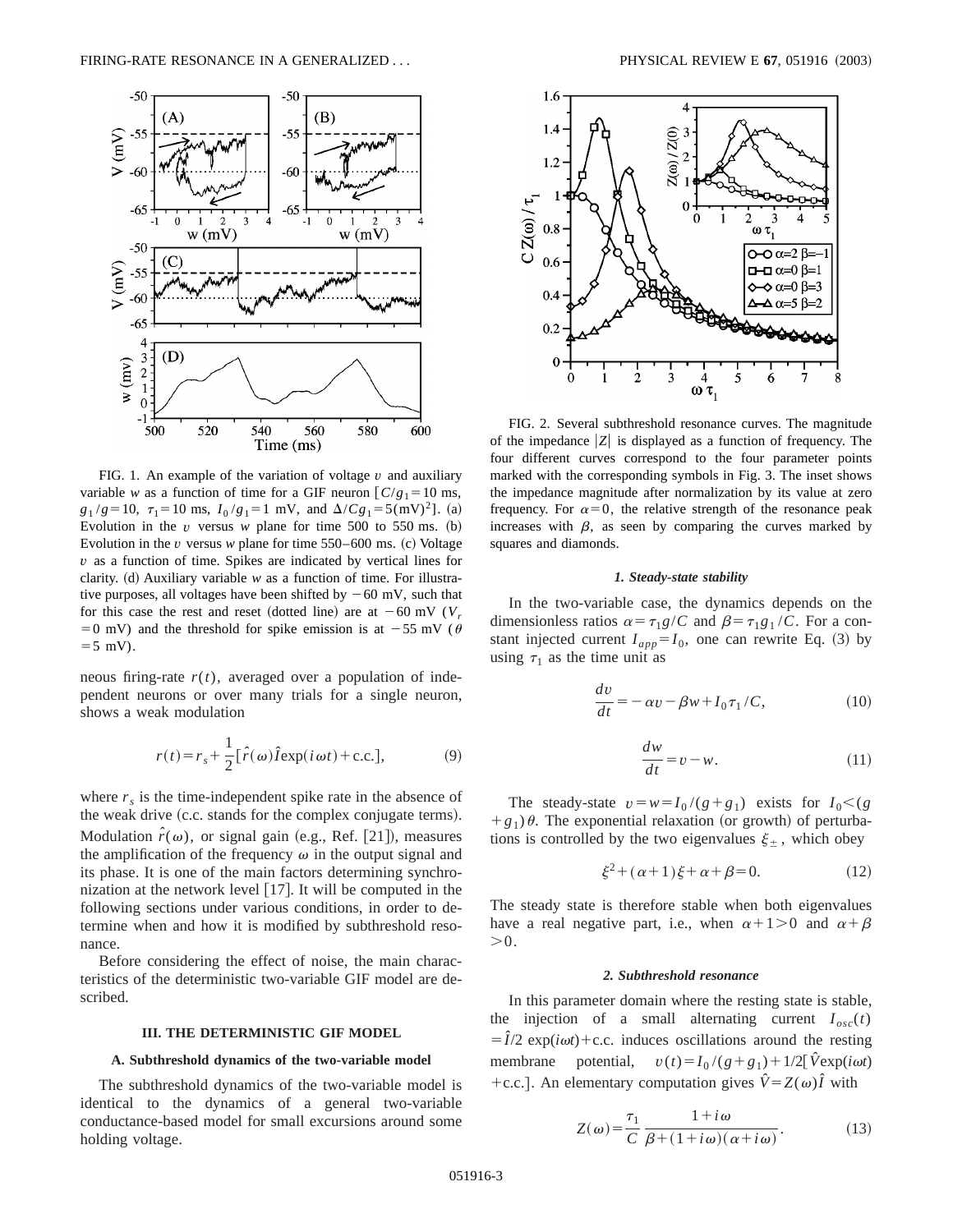

FIG. 1. An example of the variation of voltage *v* and auxiliary variable *w* as a function of time for a GIF neuron  $\lceil C/g_1 = 10 \text{ ms}$ ,  $g_1/g=10$ ,  $\tau_1=10$  ms,  $I_0/g_1=1$  mV, and  $\Delta/Cg_1=5$ (mV)<sup>2</sup>]. (a) Evolution in the  $v$  versus  $w$  plane for time 500 to 550 ms. (b) Evolution in the  $v$  versus  $w$  plane for time  $550-600$  ms. (c) Voltage *v* as a function of time. Spikes are indicated by vertical lines for clarity.  $(d)$  Auxiliary variable *w* as a function of time. For illustrative purposes, all voltages have been shifted by  $-60$  mV, such that for this case the rest and reset (dotted line) are at  $-60$  mV ( $V_r$ =0 mV) and the threshold for spike emission is at  $-55$  mV ( $\theta$  $=5$  mV).

neous firing-rate  $r(t)$ , averaged over a population of independent neurons or over many trials for a single neuron, shows a weak modulation

$$
r(t) = r_s + \frac{1}{2} [\hat{r}(\omega)\hat{I} \exp(i\omega t) + \text{c.c.}],
$$
 (9)

where  $r<sub>s</sub>$  is the time-independent spike rate in the absence of the weak drive (c.c. stands for the complex conjugate terms). Modulation  $\hat{r}(\omega)$ , or signal gain (e.g., Ref. [21]), measures the amplification of the frequency  $\omega$  in the output signal and its phase. It is one of the main factors determining synchronization at the network level  $[17]$ . It will be computed in the following sections under various conditions, in order to determine when and how it is modified by subthreshold resonance.

Before considering the effect of noise, the main characteristics of the deterministic two-variable GIF model are described.

### **III. THE DETERMINISTIC GIF MODEL**

### **A. Subthreshold dynamics of the two-variable model**

The subthreshold dynamics of the two-variable model is identical to the dynamics of a general two-variable conductance-based model for small excursions around some holding voltage.



FIG. 2. Several subthreshold resonance curves. The magnitude of the impedance  $|Z|$  is displayed as a function of frequency. The four different curves correspond to the four parameter points marked with the corresponding symbols in Fig. 3. The inset shows the impedance magnitude after normalization by its value at zero frequency. For  $\alpha=0$ , the relative strength of the resonance peak increases with  $\beta$ , as seen by comparing the curves marked by squares and diamonds.

#### *1. Steady-state stability*

In the two-variable case, the dynamics depends on the dimensionless ratios  $\alpha = \tau_1 g/C$  and  $\beta = \tau_1 g_1/C$ . For a constant injected current  $I_{app} = I_0$ , one can rewrite Eq. (3) by using  $\tau_1$  as the time unit as

$$
\frac{dv}{dt} = -\alpha v - \beta w + I_0 \tau_1 / C,\tag{10}
$$

$$
\frac{dw}{dt} = v - w.\tag{11}
$$

The steady-state  $v = w = I_0/(g + g_1)$  exists for  $I_0 < (g_1, g_2)$  $+g_1$ )  $\theta$ . The exponential relaxation (or growth) of perturbations is controlled by the two eigenvalues  $\xi_{\pm}$ , which obey

$$
\xi^2 + (\alpha + 1)\xi + \alpha + \beta = 0. \tag{12}
$$

The steady state is therefore stable when both eigenvalues have a real negative part, i.e., when  $\alpha+1>0$  and  $\alpha+\beta$  $>0.$ 

#### *2. Subthreshold resonance*

In this parameter domain where the resting state is stable, the injection of a small alternating current  $I_{osc}(t)$  $= \hat{I}/2$  exp(*i*ω*t*)+c.c. induces oscillations around the resting membrane potential,  $v(t) = I_0/(g+g_1) + 1/2[\hat{V}exp(i\omega t)]$ +c.c.]. An elementary computation gives  $\hat{V} = Z(\omega)\hat{I}$  with

$$
Z(\omega) = \frac{\tau_1}{C} \frac{1 + i\omega}{\beta + (1 + i\omega)(\alpha + i\omega)}.
$$
 (13)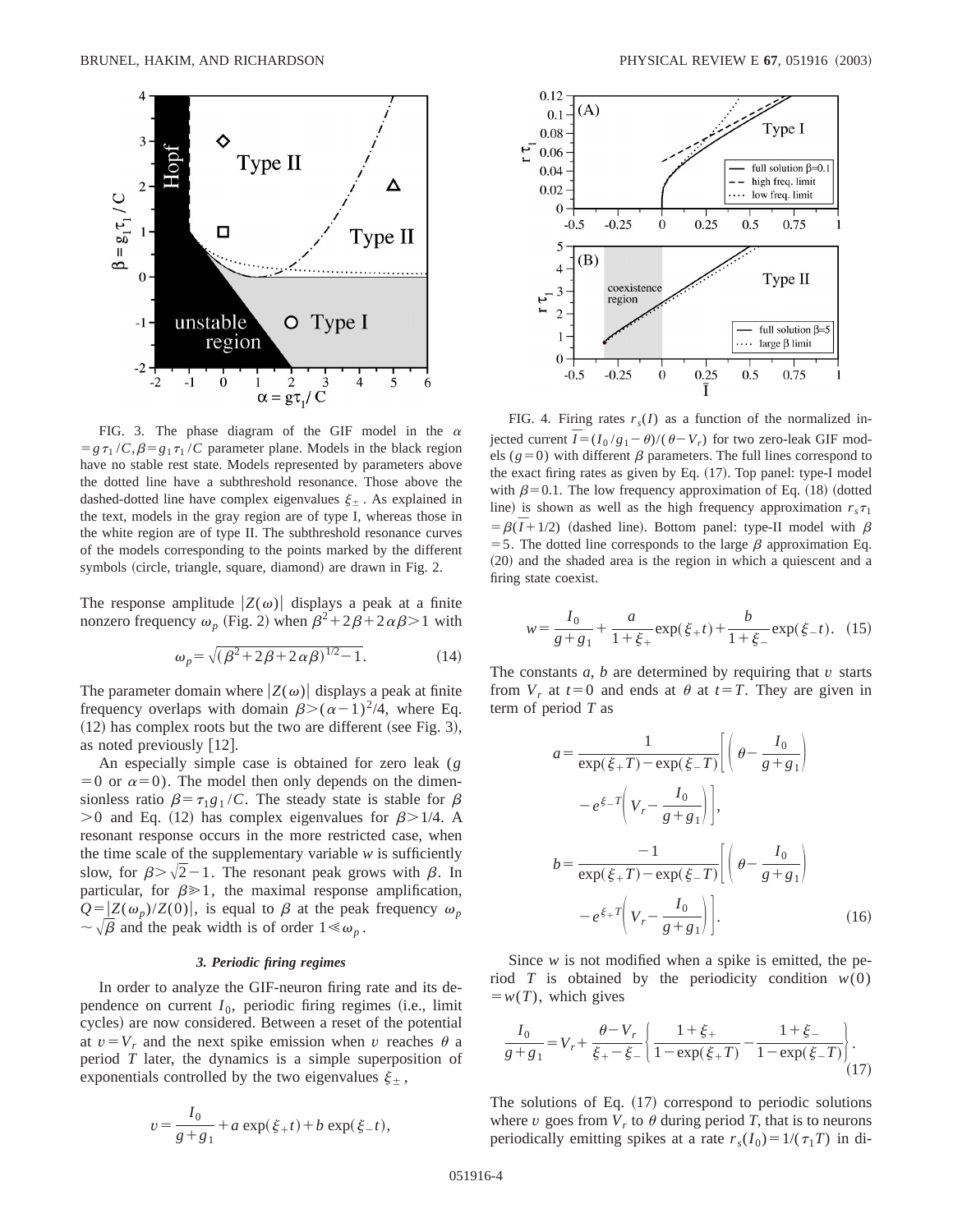

FIG. 3. The phase diagram of the GIF model in the  $\alpha$  $= g \tau_1 / C$ ,  $\beta = g_1 \tau_1 / C$  parameter plane. Models in the black region have no stable rest state. Models represented by parameters above the dotted line have a subthreshold resonance. Those above the dashed-dotted line have complex eigenvalues  $\xi_+$ . As explained in the text, models in the gray region are of type I, whereas those in the white region are of type II. The subthreshold resonance curves of the models corresponding to the points marked by the different symbols (circle, triangle, square, diamond) are drawn in Fig. 2.

The response amplitude  $|Z(\omega)|$  displays a peak at a finite nonzero frequency  $\omega_p$  (Fig. 2) when  $\beta^2 + 2\beta + 2\alpha\beta > 1$  with

$$
\omega_p = \sqrt{(\beta^2 + 2\beta + 2\alpha\beta)^{1/2} - 1}.
$$
 (14)

The parameter domain where  $|Z(\omega)|$  displays a peak at finite frequency overlaps with domain  $\beta$ > $(\alpha-1)^2/4$ , where Eq.  $(12)$  has complex roots but the two are different (see Fig. 3), as noted previously  $[12]$ .

An especially simple case is obtained for zero leak (*g*  $=0$  or  $\alpha=0$ ). The model then only depends on the dimensionless ratio  $\beta = \tau_1 g_1 / C$ . The steady state is stable for  $\beta$  $>0$  and Eq. (12) has complex eigenvalues for  $\beta$  $>1/4$ . A resonant response occurs in the more restricted case, when the time scale of the supplementary variable  $w$  is sufficiently slow, for  $\beta > \sqrt{2}-1$ . The resonant peak grows with  $\beta$ . In particular, for  $\beta \geq 1$ , the maximal response amplification,  $Q = |Z(\omega_p)/Z(0)|$ , is equal to  $\beta$  at the peak frequency  $\omega_p$  $\sim \sqrt{\beta}$  and the peak width is of order  $1 \ll \omega_n$ .

#### *3. Periodic firing regimes*

In order to analyze the GIF-neuron firing rate and its dependence on current  $I_0$ , periodic firing regimes (i.e., limit cycles) are now considered. Between a reset of the potential at  $v = V_r$  and the next spike emission when *v* reaches  $\theta$  a period *T* later, the dynamics is a simple superposition of exponentials controlled by the two eigenvalues  $\xi_{\pm}$ ,

$$
v = \frac{I_0}{g + g_1} + a \exp(\xi_+ t) + b \exp(\xi_- t),
$$



FIG. 4. Firing rates  $r_s(I)$  as a function of the normalized injected current  $\overline{I} = (I_0 / g_1 - \theta) / (\theta - V_r)$  for two zero-leak GIF models ( $g=0$ ) with different  $\beta$  parameters. The full lines correspond to the exact firing rates as given by Eq.  $(17)$ . Top panel: type-I model with  $\beta$ =0.1. The low frequency approximation of Eq. (18) (dotted line) is shown as well as the high frequency approximation  $r<sub>s</sub> \tau<sub>1</sub>$  $= \beta(\overline{I} + 1/2)$  (dashed line). Bottom panel: type-II model with  $\beta$ = 5. The dotted line corresponds to the large  $\beta$  approximation Eq.  $(20)$  and the shaded area is the region in which a quiescent and a firing state coexist.

$$
w = \frac{I_0}{g + g_1} + \frac{a}{1 + \xi_+} \exp(\xi_+ t) + \frac{b}{1 + \xi_-} \exp(\xi_- t). \tag{15}
$$

The constants *a*, *b* are determined by requiring that *v* starts from  $V_r$  at  $t=0$  and ends at  $\theta$  at  $t=T$ . They are given in term of period *T* as

$$
a = \frac{1}{\exp(\xi + T) - \exp(\xi - T)} \left[ \left( \theta - \frac{I_0}{g + g_1} \right) - e^{\xi - T} \left( V_r - \frac{I_0}{g + g_1} \right) \right],
$$
  

$$
b = \frac{-1}{\exp(\xi + T) - \exp(\xi - T)} \left[ \left( \theta - \frac{I_0}{g + g_1} \right) - e^{\xi + T} \left( V_r - \frac{I_0}{g + g_1} \right) \right].
$$
 (16)

Since *w* is not modified when a spike is emitted, the period *T* is obtained by the periodicity condition  $w(0)$  $= w(T)$ , which gives

$$
\frac{I_0}{g+g_1} = V_r + \frac{\theta - V_r}{\xi_+ - \xi_-} \left\{ \frac{1 + \xi_+}{1 - \exp(\xi_+ T)} - \frac{1 + \xi_-}{1 - \exp(\xi_- T)} \right\}.
$$
\n(17)

The solutions of Eq.  $(17)$  correspond to periodic solutions where  $\nu$  goes from  $V_r$  to  $\theta$  during period *T*, that is to neurons periodically emitting spikes at a rate  $r_s(I_0) = 1/(\tau_1 T)$  in di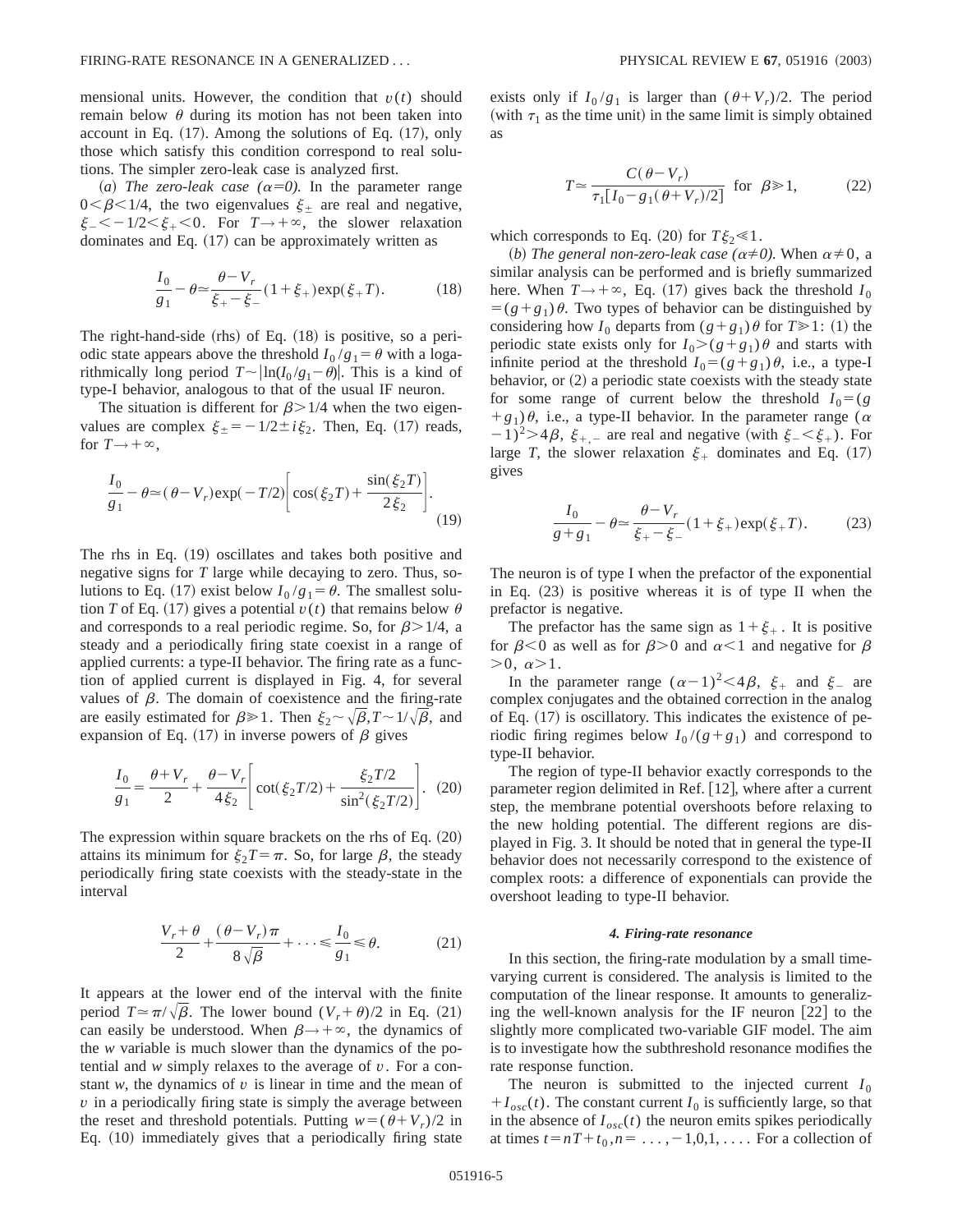mensional units. However, the condition that  $v(t)$  should remain below  $\theta$  during its motion has not been taken into account in Eq.  $(17)$ . Among the solutions of Eq.  $(17)$ , only those which satisfy this condition correspond to real solutions. The simpler zero-leak case is analyzed first.

(a) The zero-leak case  $(\alpha=0)$ . In the parameter range  $0<\beta<1/4$ , the two eigenvalues  $\xi_{\pm}$  are real and negative,  $\xi_{-}<-1/2<\xi_{+}<0$ . For  $T\rightarrow+\infty$ , the slower relaxation dominates and Eq.  $(17)$  can be approximately written as

$$
\frac{I_0}{g_1} - \theta \approx \frac{\theta - V_r}{\xi_+ - \xi_-} (1 + \xi_+) \exp(\xi_+ T). \tag{18}
$$

The right-hand-side  $(rhs)$  of Eq.  $(18)$  is positive, so a periodic state appears above the threshold  $I_0/g_1 = \theta$  with a logarithmically long period  $T \sim \frac{|ln(I_0 / g_1 - \theta)|}{|I_0 / g_1 - \theta|}$ . This is a kind of type-I behavior, analogous to that of the usual IF neuron.

The situation is different for  $\beta$  > 1/4 when the two eigenvalues are complex  $\xi_{\pm} = -1/2 \pm i \xi_2$ . Then, Eq. (17) reads, for  $T \rightarrow +\infty$ ,

$$
\frac{I_0}{g_1} - \theta \approx (\theta - V_r) \exp(-T/2) \left[ \cos(\xi_2 T) + \frac{\sin(\xi_2 T)}{2 \xi_2} \right].
$$
\n(19)

The rhs in Eq.  $(19)$  oscillates and takes both positive and negative signs for *T* large while decaying to zero. Thus, solutions to Eq. (17) exist below  $I_0/g_1 = \theta$ . The smallest solution *T* of Eq. (17) gives a potential  $v(t)$  that remains below  $\theta$ and corresponds to a real periodic regime. So, for  $\beta > 1/4$ , a steady and a periodically firing state coexist in a range of applied currents: a type-II behavior. The firing rate as a function of applied current is displayed in Fig. 4, for several values of  $\beta$ . The domain of coexistence and the firing-rate are easily estimated for  $\beta \geq 1$ . Then  $\xi_2 \sim \sqrt{\beta}, T \sim 1/\sqrt{\beta}$ , and expansion of Eq. (17) in inverse powers of  $\beta$  gives

$$
\frac{I_0}{g_1} = \frac{\theta + V_r}{2} + \frac{\theta - V_r}{4\xi_2} \left[ \cot(\xi_2 T/2) + \frac{\xi_2 T/2}{\sin^2(\xi_2 T/2)} \right].
$$
 (20)

The expression within square brackets on the rhs of Eq.  $(20)$ attains its minimum for  $\xi_2 T = \pi$ . So, for large  $\beta$ , the steady periodically firing state coexists with the steady-state in the interval

$$
\frac{V_r + \theta}{2} + \frac{(\theta - V_r)\pi}{8\sqrt{\beta}} + \dots \leq \frac{I_0}{g_1} \leq \theta.
$$
 (21)

It appears at the lower end of the interval with the finite period  $T \approx \pi/\sqrt{\beta}$ . The lower bound  $(V_r + \theta)/2$  in Eq. (21) can easily be understood. When  $\beta \rightarrow +\infty$ , the dynamics of the *w* variable is much slower than the dynamics of the potential and *w* simply relaxes to the average of *v*. For a constant  $w$ , the dynamics of  $v$  is linear in time and the mean of *v* in a periodically firing state is simply the average between the reset and threshold potentials. Putting  $w = (\theta + V_r)/2$  in Eq.  $(10)$  immediately gives that a periodically firing state exists only if  $I_0/g_1$  is larger than  $(\theta + V_r)/2$ . The period (with  $\tau_1$  as the time unit) in the same limit is simply obtained as

$$
T \simeq \frac{C(\theta - V_r)}{\tau_1 [I_0 - g_1(\theta + V_r)/2]} \text{ for } \beta \gg 1,
$$
 (22)

which corresponds to Eq.  $(20)$  for  $T\xi_2 \ll 1$ .

*(b) The general non-zero-leak case (* $\alpha \neq 0$ *).* When  $\alpha \neq 0$ , a similar analysis can be performed and is briefly summarized here. When  $T \rightarrow +\infty$ , Eq. (17) gives back the threshold  $I_0$  $= (g+g_1)\theta$ . Two types of behavior can be distinguished by considering how  $I_0$  departs from  $(g+g_1)\theta$  for  $T\geq 1$ : (1) the periodic state exists only for  $I_0>(g+g_1)\theta$  and starts with infinite period at the threshold  $I_0 = (g + g_1) \theta$ , i.e., a type-I behavior, or  $(2)$  a periodic state coexists with the steady state for some range of current below the threshold  $I_0 = (g \cdot \theta)$  $+g_1$ ) $\theta$ , i.e., a type-II behavior. In the parameter range ( $\alpha$  $(2-1)^2 > 4\beta$ ,  $\xi_{+,-}$  are real and negative (with  $\xi_{-} < \xi_{+}$ ). For large *T*, the slower relaxation  $\xi$  dominates and Eq. (17) gives

$$
\frac{I_0}{g+g_1} - \theta \approx \frac{\theta - V_r}{\xi_+ - \xi_-} (1 + \xi_+) \exp(\xi_+ T). \tag{23}
$$

The neuron is of type I when the prefactor of the exponential in Eq.  $(23)$  is positive whereas it is of type II when the prefactor is negative.

The prefactor has the same sign as  $1+\xi_{+}$ . It is positive for  $\beta$ <0 as well as for  $\beta$ >0 and  $\alpha$ <1 and negative for  $\beta$  $>0, \alpha >1.$ 

In the parameter range  $(\alpha-1)^2 < 4\beta$ ,  $\xi_+$  and  $\xi_-$  are complex conjugates and the obtained correction in the analog of Eq.  $(17)$  is oscillatory. This indicates the existence of periodic firing regimes below  $I_0/(g+g_1)$  and correspond to type-II behavior.

The region of type-II behavior exactly corresponds to the parameter region delimited in Ref.  $[12]$ , where after a current step, the membrane potential overshoots before relaxing to the new holding potential. The different regions are displayed in Fig. 3. It should be noted that in general the type-II behavior does not necessarily correspond to the existence of complex roots: a difference of exponentials can provide the overshoot leading to type-II behavior.

### *4. Firing-rate resonance*

In this section, the firing-rate modulation by a small timevarying current is considered. The analysis is limited to the computation of the linear response. It amounts to generalizing the well-known analysis for the IF neuron  $[22]$  to the slightly more complicated two-variable GIF model. The aim is to investigate how the subthreshold resonance modifies the rate response function.

The neuron is submitted to the injected current  $I_0$  $+I_{osc}(t)$ . The constant current  $I_0$  is sufficiently large, so that in the absence of  $I_{osc}(t)$  the neuron emits spikes periodically at times  $t=nT+t_0$ ,  $n=\ldots,-1,0,1,\ldots$ . For a collection of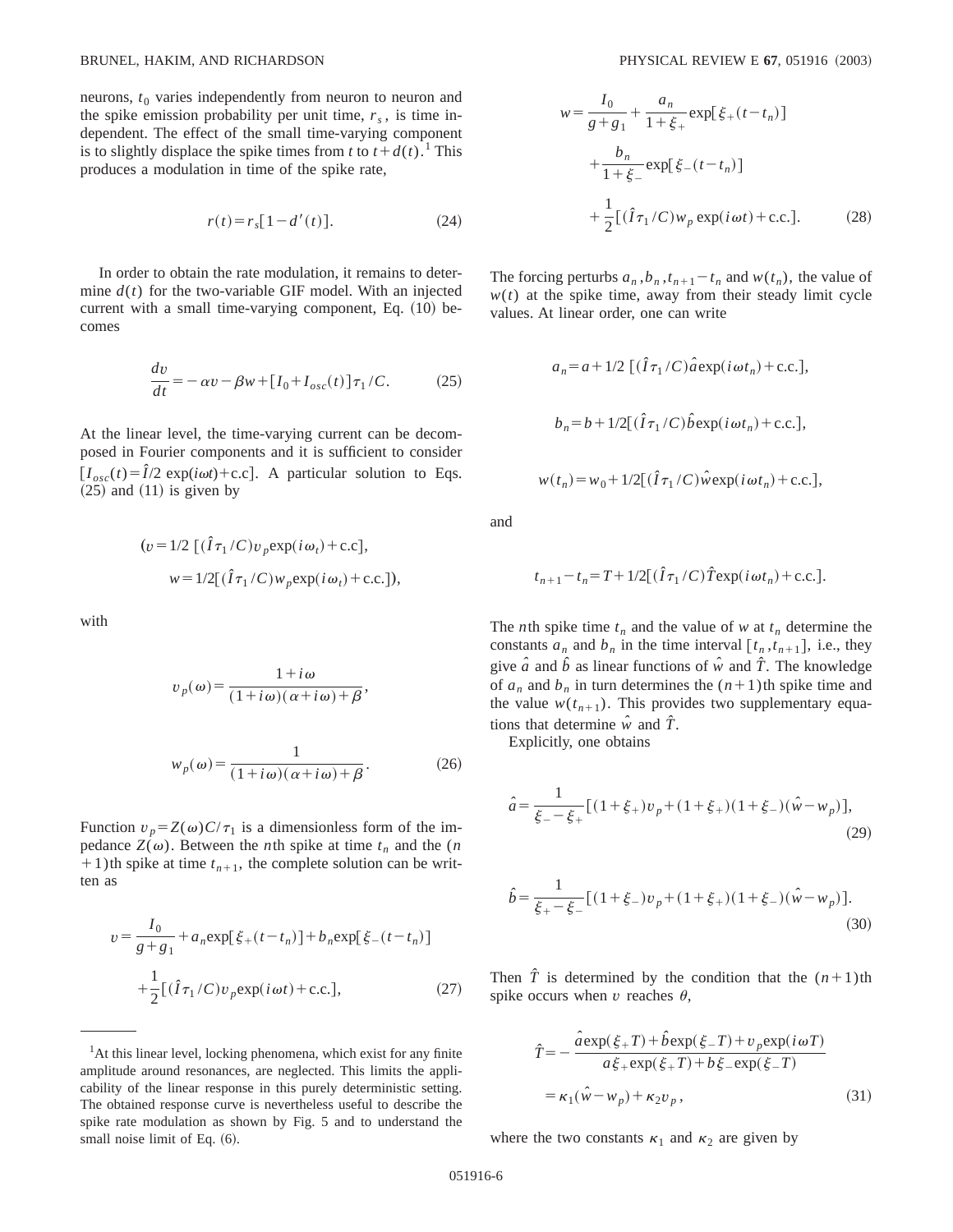neurons,  $t_0$  varies independently from neuron to neuron and the spike emission probability per unit time,  $r<sub>s</sub>$ , is time independent. The effect of the small time-varying component is to slightly displace the spike times from *t* to  $t+d(t)$ .<sup>1</sup> This produces a modulation in time of the spike rate,

$$
r(t) = r_s[1 - d'(t)].
$$
 (24)

In order to obtain the rate modulation, it remains to determine  $d(t)$  for the two-variable GIF model. With an injected current with a small time-varying component, Eq.  $(10)$  becomes

$$
\frac{dv}{dt} = -\alpha v - \beta w + [I_0 + I_{osc}(t)]\tau_1 / C.
$$
 (25)

At the linear level, the time-varying current can be decomposed in Fourier components and it is sufficient to consider  $[I_{osc}(t) = \hat{I}/2 \exp(i\omega t) + c.c].$  A particular solution to Eqs.  $(25)$  and  $(11)$  is given by

$$
(v = 1/2 \left[ (\hat{I}\tau_1/C)v_p \exp(i\omega_t) + \text{c.c.} \right],
$$
  

$$
w = 1/2 \left[ (\hat{I}\tau_1/C)w_p \exp(i\omega_t) + \text{c.c.} \right],
$$

with

$$
v_p(\omega) = \frac{1 + i\omega}{(1 + i\omega)(\alpha + i\omega) + \beta},
$$
  

$$
w_p(\omega) = \frac{1}{(1 + i\omega)(\alpha + i\omega) + \beta}.
$$
 (26)

Function  $v_p = Z(\omega)C/\tau_1$  is a dimensionless form of the impedance  $Z(\omega)$ . Between the *n*th spike at time  $t_n$  and the (*n*  $+1$ )th spike at time  $t_{n+1}$ , the complete solution can be written as

$$
v = \frac{I_0}{g + g_1} + a_n \exp[\xi_+(t - t_n)] + b_n \exp[\xi_-(t - t_n)]
$$
  
+ 
$$
\frac{1}{2} [(\hat{I}\tau_1/C)v_p \exp(i\omega t) + c.c.],
$$
 (27)

<sup>1</sup>At this linear level, locking phenomena, which exist for any finite amplitude around resonances, are neglected. This limits the applicability of the linear response in this purely deterministic setting. The obtained response curve is nevertheless useful to describe the spike rate modulation as shown by Fig. 5 and to understand the small noise limit of Eq.  $(6)$ .

$$
w = \frac{I_0}{g + g_1} + \frac{a_n}{1 + \xi_+} \exp[\xi_+(t - t_n)]
$$
  
+ 
$$
\frac{b_n}{1 + \xi_-} \exp[\xi_-(t - t_n)]
$$
  
+ 
$$
\frac{1}{2} [(\hat{I}\tau_1/C)w_p \exp(i\omega t) + \text{c.c.}].
$$
 (28)

The forcing perturbs  $a_n$ ,  $b_n$ ,  $t_{n+1} - t_n$  and  $w(t_n)$ , the value of  $w(t)$  at the spike time, away from their steady limit cycle values. At linear order, one can write

$$
a_n = a + 1/2 \left[ (\hat{I}\tau_1/C)\hat{a} \exp(i\omega t_n) + \text{c.c.} \right],
$$
  
\n
$$
b_n = b + 1/2 \left[ (\hat{I}\tau_1/C)\hat{b} \exp(i\omega t_n) + \text{c.c.} \right],
$$
  
\n
$$
w(t_n) = w_0 + 1/2 \left[ (\hat{I}\tau_1/C)\hat{w} \exp(i\omega t_n) + \text{c.c.} \right],
$$

and

$$
t_{n+1} - t_n = T + 1/2[(\hat{I}\tau_1/C)\hat{T} \exp(i\omega t_n) + \text{c.c.}].
$$

The *n*th spike time  $t_n$  and the value of *w* at  $t_n$  determine the constants  $a_n$  and  $b_n$  in the time interval  $[t_n, t_{n+1}]$ , i.e., they give  $\hat{a}$  and  $\hat{b}$  as linear functions of  $\hat{w}$  and  $\hat{T}$ . The knowledge of  $a_n$  and  $b_n$  in turn determines the  $(n+1)$ th spike time and the value  $w(t_{n+1})$ . This provides two supplementary equations that determine  $\hat{w}$  and  $\hat{T}$ .

Explicitly, one obtains

$$
\hat{a} = \frac{1}{\xi_{-} - \xi_{+}} [(1 + \xi_{+})v_{p} + (1 + \xi_{+})(1 + \xi_{-})(\hat{w} - w_{p})],
$$
\n(29)

$$
\hat{b} = \frac{1}{\xi_{+} - \xi_{-}} [(1 + \xi_{-})v_{p} + (1 + \xi_{+})(1 + \xi_{-})(\hat{w} - w_{p})].
$$
\n(30)

Then  $\hat{T}$  is determined by the condition that the  $(n+1)$ th spike occurs when  $v$  reaches  $\theta$ ,

$$
\hat{T} = -\frac{\hat{a} \exp(\xi + T) + \hat{b} \exp(\xi - T) + v_p \exp(i \omega T)}{a \xi + \exp(\xi + T) + b \xi - \exp(\xi - T)}
$$

$$
= \kappa_1(\hat{w} - w_p) + \kappa_2 v_p, \qquad (31)
$$

where the two constants  $\kappa_1$  and  $\kappa_2$  are given by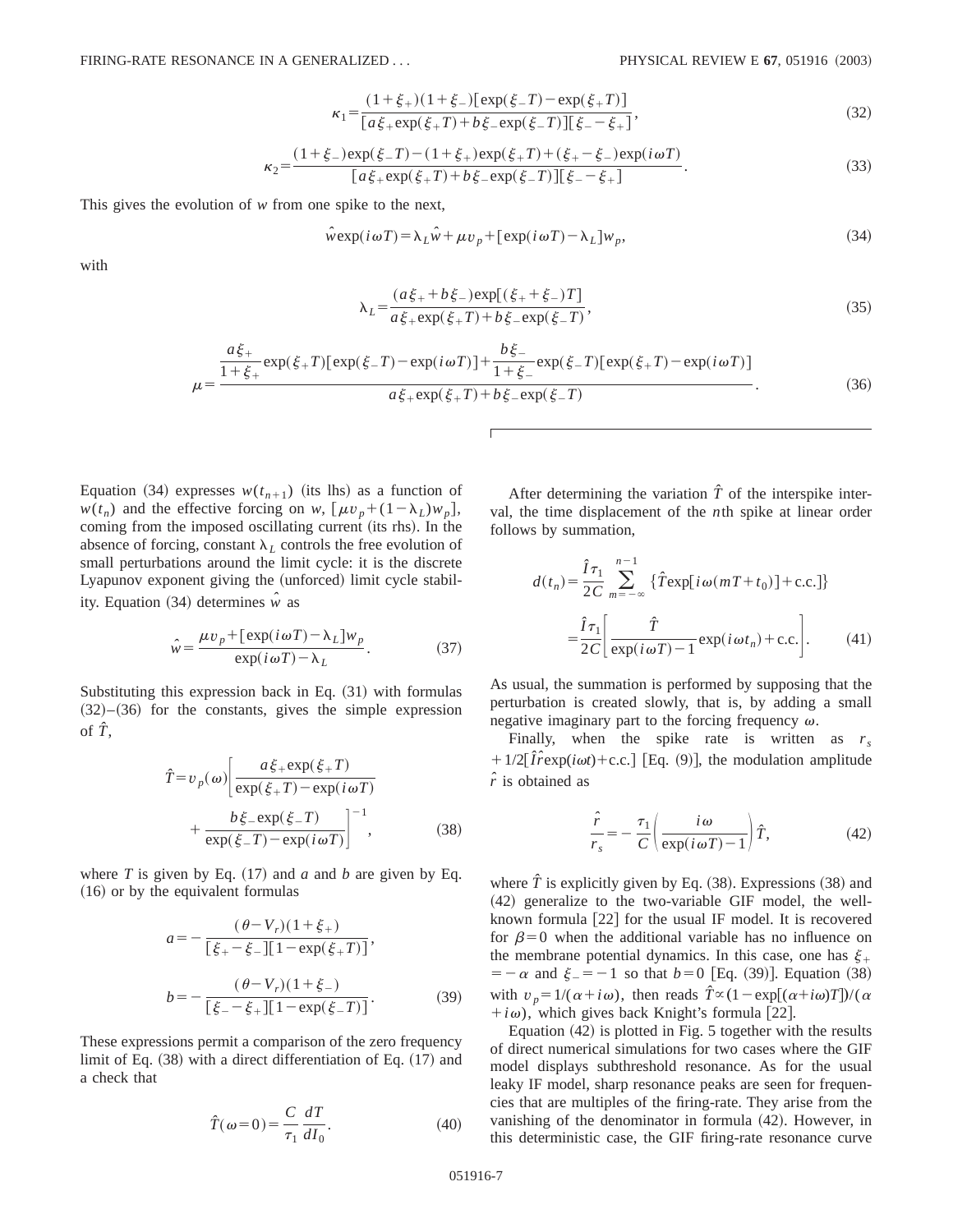$$
\kappa_1 = \frac{(1+\xi_+)(1+\xi_-)[\exp(\xi_-T) - \exp(\xi_+T)]}{[\bar{a}\xi_+ \exp(\xi_+T) + b\xi_- \exp(\xi_-T)][\xi_- - \xi_+]},
$$
\n(32)

$$
\kappa_2 = \frac{(1+\xi_{-})\exp(\xi_{-}T) - (1+\xi_{+})\exp(\xi_{+}T) + (\xi_{+} - \xi_{-})\exp(i\omega T)}{[a\xi_{+}\exp(\xi_{+}T) + b\xi_{-}\exp(\xi_{-}T)][\xi_{-} - \xi_{+}]}.
$$
\n(33)

This gives the evolution of *w* from one spike to the next,

$$
\hat{w} \exp(i\omega T) = \lambda_L \hat{w} + \mu v_p + [\exp(i\omega T) - \lambda_L] w_p,
$$
\n(34)

with

$$
\lambda_L = \frac{(a\xi_+ + b\xi_-)\exp[(\xi_+ + \xi_-)T]}{a\xi_+\exp(\xi_+T) + b\xi_-\exp(\xi_-T)},
$$
\n(35)

$$
\mu = \frac{\frac{a\xi_{+}}{1+\xi_{+}}\exp(\xi_{+}T)[\exp(\xi_{-}T)-\exp(i\omega T)] + \frac{b\xi_{-}}{1+\xi_{-}}\exp(\xi_{-}T)[\exp(\xi_{+}T)-\exp(i\omega T)]}{a\xi_{+}\exp(\xi_{+}T)+b\xi_{-}\exp(\xi_{-}T)}.
$$
(36)

Equation (34) expresses  $w(t_{n+1})$  (its lhs) as a function of  $w(t_n)$  and the effective forcing on *w*,  $[\mu v_p + (1 - \lambda_L) w_p]$ , coming from the imposed oscillating current (its rhs). In the absence of forcing, constant  $\lambda_L$  controls the free evolution of small perturbations around the limit cycle: it is the discrete Lyapunov exponent giving the (unforced) limit cycle stability. Equation  $(34)$  determines  $\hat{w}$  as

$$
\hat{w} = \frac{\mu v_p + [\exp(i\omega T) - \lambda_L]w_p}{\exp(i\omega T) - \lambda_L}.
$$
\n(37)

Substituting this expression back in Eq.  $(31)$  with formulas  $(32)–(36)$  for the constants, gives the simple expression of  $\hat{T}$ .

$$
\hat{T} = v_p(\omega) \left[ \frac{a\xi_+ \exp(\xi_+ T)}{\exp(\xi_+ T) - \exp(i\omega T)} + \frac{b\xi_- \exp(\xi_- T)}{\exp(\xi_- T) - \exp(i\omega T)} \right]^{-1}, \tag{38}
$$

where *T* is given by Eq.  $(17)$  and *a* and *b* are given by Eq.  $(16)$  or by the equivalent formulas

$$
a = -\frac{(\theta - V_r)(1 + \xi_+)}{[\xi_+ - \xi_-][1 - \exp(\xi_+ T)]},
$$
  
\n
$$
b = -\frac{(\theta - V_r)(1 + \xi_-)}{[\xi_- - \xi_+][1 - \exp(\xi_- T)]}.
$$
 (39)

These expressions permit a comparison of the zero frequency limit of Eq.  $(38)$  with a direct differentiation of Eq.  $(17)$  and a check that

$$
\hat{T}(\omega=0) = \frac{C}{\tau_1} \frac{dT}{dI_0}.
$$
\n(40)

After determining the variation  $\hat{T}$  of the interspike interval, the time displacement of the *n*th spike at linear order follows by summation,

$$
d(t_n) = \frac{\hat{I}\tau_1}{2C} \sum_{m=-\infty}^{n-1} {\hat{T}\exp[i\omega(mT+t_0)] + \text{c.c.} }
$$

$$
= \frac{\hat{I}\tau_1}{2C} \bigg[ \frac{\hat{T}}{\exp(i\omega T) - 1} \exp(i\omega t_n) + \text{c.c.} \bigg].
$$
 (41)

As usual, the summation is performed by supposing that the perturbation is created slowly, that is, by adding a small negative imaginary part to the forcing frequency  $\omega$ .

Finally, when the spike rate is written as *rs*  $+1/2[\hat{I} \hat{r} \exp(i\omega t)+c.c.]$  [Eq. (9)], the modulation amplitude *r ˆ* is obtained as

$$
\frac{\hat{r}}{r_s} = -\frac{\tau_1}{C} \left( \frac{i\omega}{\exp(i\omega T) - 1} \right) \hat{T},\tag{42}
$$

where  $\hat{T}$  is explicitly given by Eq.  $(38)$ . Expressions  $(38)$  and  $(42)$  generalize to the two-variable GIF model, the wellknown formula  $[22]$  for the usual IF model. It is recovered for  $\beta=0$  when the additional variable has no influence on the membrane potential dynamics. In this case, one has  $\xi$ .  $= -\alpha$  and  $\xi = -1$  so that  $b = 0$  [Eq. (39)]. Equation (38) with  $v_p = 1/(\alpha + i\omega)$ , then reads  $\hat{T} \propto (1 - \exp[(\alpha + i\omega)T])/(\alpha$  $+i\omega$ ), which gives back Knight's formula [22].

Equation  $(42)$  is plotted in Fig. 5 together with the results of direct numerical simulations for two cases where the GIF model displays subthreshold resonance. As for the usual leaky IF model, sharp resonance peaks are seen for frequencies that are multiples of the firing-rate. They arise from the vanishing of the denominator in formula  $(42)$ . However, in this deterministic case, the GIF firing-rate resonance curve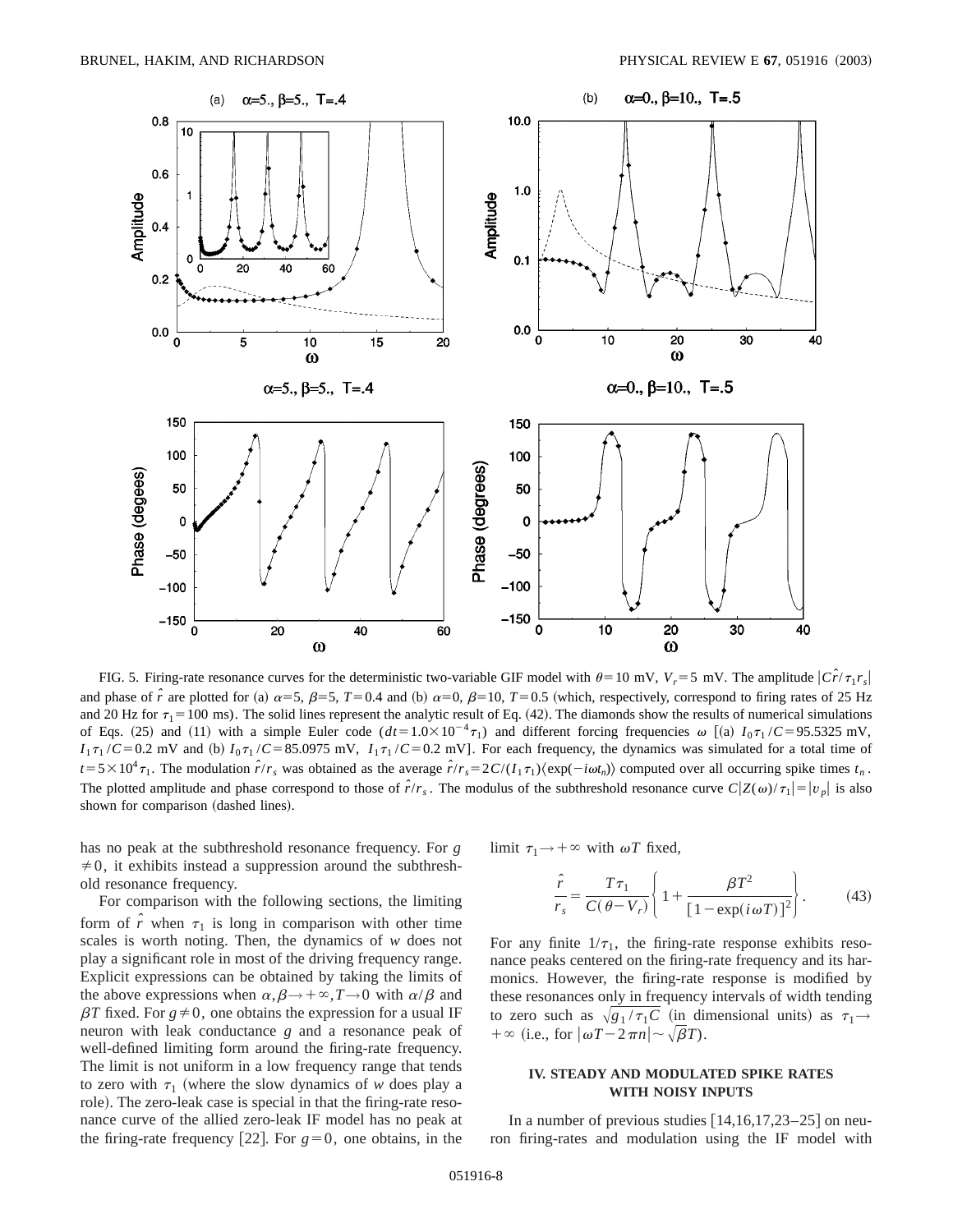

FIG. 5. Firing-rate resonance curves for the deterministic two-variable GIF model with  $\theta = 10$  mV,  $V_r = 5$  mV. The amplitude  $\left| \hat{Cr}/\tau_1 r_s \right|$ and phase of  $\hat{r}$  are plotted for (a)  $\alpha = 5$ ,  $\beta = 5$ ,  $T = 0.4$  and (b)  $\alpha = 0$ ,  $\beta = 10$ ,  $T = 0.5$  (which, respectively, correspond to firing rates of 25 Hz and 20 Hz for  $\tau_1$  = 100 ms). The solid lines represent the analytic result of Eq. (42). The diamonds show the results of numerical simulations of Eqs. (25) and (11) with a simple Euler code  $(dt=1.0\times10^{-4}\tau_1)$  and different forcing frequencies  $\omega$  [(a)  $I_0\tau_1/C=95.5325$  mV,  $I_1 \tau_1 / C = 0.2$  mV and (b)  $I_0 \tau_1 / C = 85.0975$  mV,  $I_1 \tau_1 / C = 0.2$  mV]. For each frequency, the dynamics was simulated for a total time of  $t = 5 \times 10^4 \tau_1$ . The modulation  $\hat{r}/r_s$  was obtained as the average  $\hat{r}/r_s = 2C/(I_1 \tau_1) \langle \exp(-i\omega t_n) \rangle$  computed over all occurring spike times  $t_n$ . The plotted amplitude and phase correspond to those of  $\hat{r}/r_s$ . The modulus of the subthreshold resonance curve  $C|Z(\omega)/\tau_1| = |v_p|$  is also shown for comparison (dashed lines).

has no peak at the subthreshold resonance frequency. For *g*  $\neq 0$ , it exhibits instead a suppression around the subthreshold resonance frequency.

For comparison with the following sections, the limiting form of  $\hat{r}$  when  $\tau_1$  is long in comparison with other time scales is worth noting. Then, the dynamics of *w* does not play a significant role in most of the driving frequency range. Explicit expressions can be obtained by taking the limits of the above expressions when  $\alpha, \beta \rightarrow +\infty, T \rightarrow 0$  with  $\alpha/\beta$  and  $\beta T$  fixed. For  $g \neq 0$ , one obtains the expression for a usual IF neuron with leak conductance *g* and a resonance peak of well-defined limiting form around the firing-rate frequency. The limit is not uniform in a low frequency range that tends to zero with  $\tau_1$  (where the slow dynamics of *w* does play a role). The zero-leak case is special in that the firing-rate resonance curve of the allied zero-leak IF model has no peak at the firing-rate frequency [22]. For  $g=0$ , one obtains, in the limit  $\tau_1 \rightarrow +\infty$  with  $\omega T$  fixed,

$$
\frac{\hat{r}}{r_s} = \frac{T\tau_1}{C(\theta - V_r)} \left\{ 1 + \frac{\beta T^2}{\left[1 - \exp(i\omega T)\right]^2} \right\}.
$$
 (43)

For any finite  $1/\tau_1$ , the firing-rate response exhibits resonance peaks centered on the firing-rate frequency and its harmonics. However, the firing-rate response is modified by these resonances only in frequency intervals of width tending to zero such as  $\sqrt{g_1 / \tau_1 C}$  (in dimensional units) as  $\tau_1 \rightarrow$  $+\infty$  (i.e., for  $|\omega T - 2\pi n| \sim \sqrt{\beta T}$ ).

### **IV. STEADY AND MODULATED SPIKE RATES WITH NOISY INPUTS**

In a number of previous studies  $[14,16,17,23-25]$  on neuron firing-rates and modulation using the IF model with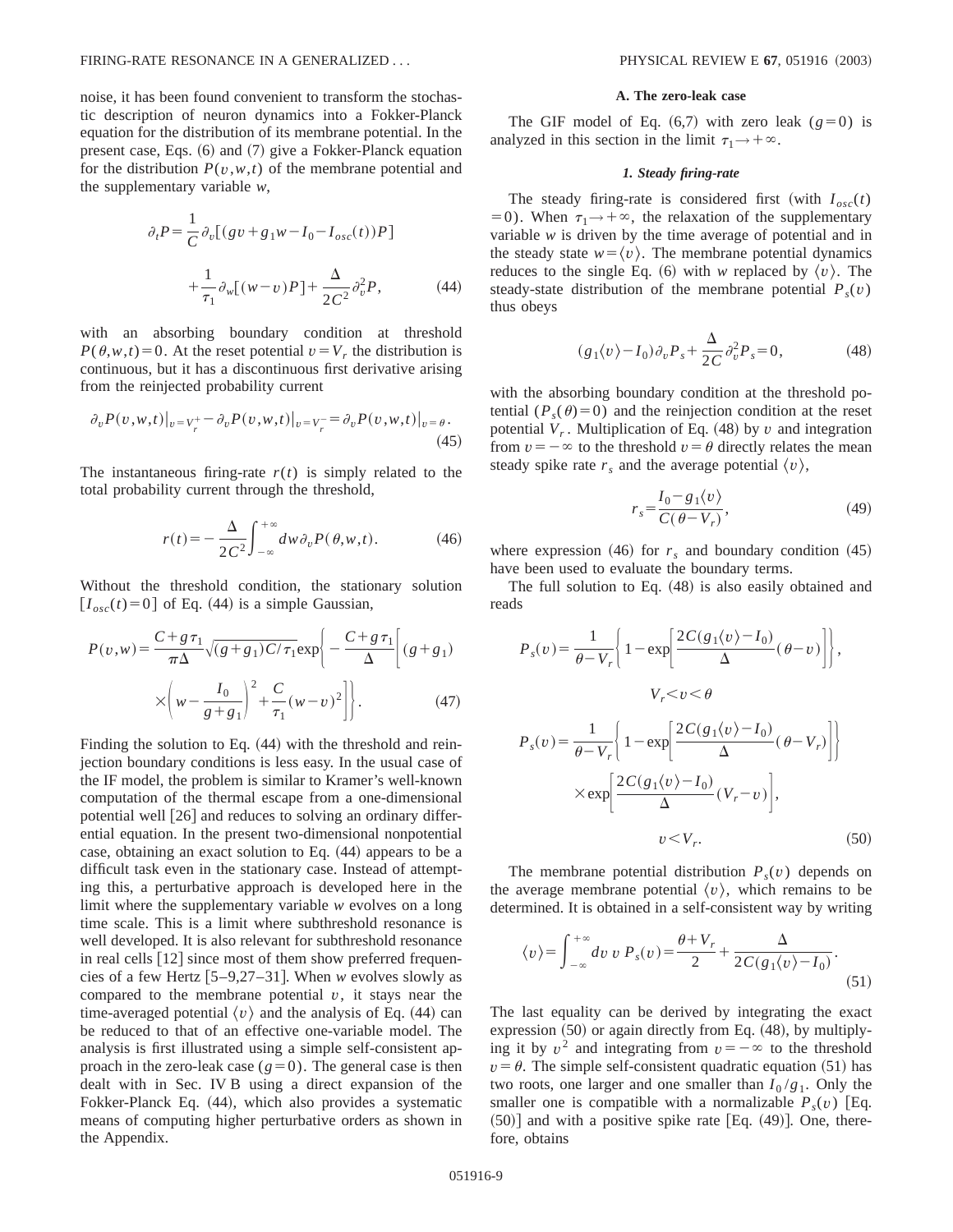noise, it has been found convenient to transform the stochastic description of neuron dynamics into a Fokker-Planck equation for the distribution of its membrane potential. In the present case, Eqs.  $(6)$  and  $(7)$  give a Fokker-Planck equation for the distribution  $P(v, w, t)$  of the membrane potential and the supplementary variable *w*,

$$
\partial_t P = \frac{1}{C} \partial_v [(gv + g_1 w - I_0 - I_{osc}(t))P] + \frac{1}{\tau_1} \partial_w [(w - v)P] + \frac{\Delta}{2C^2} \partial_v^2 P,
$$
(44)

with an absorbing boundary condition at threshold  $P(\theta, w, t) = 0$ . At the reset potential  $v = V_r$ , the distribution is continuous, but it has a discontinuous first derivative arising from the reinjected probability current

$$
\partial_v P(v, w, t)|_{v = V_r^+} - \partial_v P(v, w, t)|_{v = V_r^-} = \partial_v P(v, w, t)|_{v = \theta}.
$$
\n(45)

The instantaneous firing-rate  $r(t)$  is simply related to the total probability current through the threshold,

$$
r(t) = -\frac{\Delta}{2C^2} \int_{-\infty}^{+\infty} dw \,\partial_v P(\theta, w, t). \tag{46}
$$

Without the threshold condition, the stationary solution  $[I<sub>osc</sub>(t)=0]$  of Eq. (44) is a simple Gaussian,

$$
P(v, w) = \frac{C + g \tau_1}{\pi \Delta} \sqrt{(g + g_1) C / \tau_1} \exp\left\{-\frac{C + g \tau_1}{\Delta} \left[ (g + g_1) \times \left( w - \frac{I_0}{g + g_1} \right)^2 + \frac{C}{\tau_1} (w - v)^2 \right] \right\}.
$$
 (47)

Finding the solution to Eq.  $(44)$  with the threshold and reinjection boundary conditions is less easy. In the usual case of the IF model, the problem is similar to Kramer's well-known computation of the thermal escape from a one-dimensional potential well  $\left[26\right]$  and reduces to solving an ordinary differential equation. In the present two-dimensional nonpotential case, obtaining an exact solution to Eq.  $(44)$  appears to be a difficult task even in the stationary case. Instead of attempting this, a perturbative approach is developed here in the limit where the supplementary variable *w* evolves on a long time scale. This is a limit where subthreshold resonance is well developed. It is also relevant for subthreshold resonance in real cells  $[12]$  since most of them show preferred frequencies of a few Hertz  $[5-9,27-31]$ . When *w* evolves slowly as compared to the membrane potential  $v$ , it stays near the time-averaged potential  $\langle v \rangle$  and the analysis of Eq. (44) can be reduced to that of an effective one-variable model. The analysis is first illustrated using a simple self-consistent approach in the zero-leak case  $(g=0)$ . The general case is then dealt with in Sec. IV B using a direct expansion of the Fokker-Planck Eq. (44), which also provides a systematic means of computing higher perturbative orders as shown in the Appendix.

#### **A. The zero-leak case**

The GIF model of Eq.  $(6,7)$  with zero leak  $(g=0)$  is analyzed in this section in the limit  $\tau_1 \rightarrow +\infty$ .

#### *1. Steady firing-rate*

The steady firing-rate is considered first (with  $I_{osc}(t)$ )  $(50)$ . When  $\tau_1 \rightarrow +\infty$ , the relaxation of the supplementary variable *w* is driven by the time average of potential and in the steady state  $w = \langle v \rangle$ . The membrane potential dynamics reduces to the single Eq. (6) with *w* replaced by  $\langle v \rangle$ . The steady-state distribution of the membrane potential  $P_s(v)$ thus obeys

$$
(g_1\langle v\rangle - I_0)\partial_v P_s + \frac{\Delta}{2C}\partial_v^2 P_s = 0,\tag{48}
$$

with the absorbing boundary condition at the threshold potential  $(P_s(\theta)=0)$  and the reinjection condition at the reset potential  $V_r$ . Multiplication of Eq. (48) by *v* and integration from  $v = -\infty$  to the threshold  $v = \theta$  directly relates the mean steady spike rate  $r_s$  and the average potential  $\langle v \rangle$ ,

$$
r_s = \frac{I_0 - g_1 \langle v \rangle}{C(\theta - V_r)},\tag{49}
$$

where expression  $(46)$  for  $r<sub>s</sub>$  and boundary condition  $(45)$ have been used to evaluate the boundary terms.

The full solution to Eq.  $(48)$  is also easily obtained and reads

$$
P_s(v) = \frac{1}{\theta - V_r} \left\{ 1 - \exp\left[\frac{2C(g_1 \langle v \rangle - I_0)}{\Delta} (\theta - v)\right] \right\},
$$
  

$$
V_r < v < \theta
$$
  

$$
P_s(v) = \frac{1}{\theta - V_r} \left\{ 1 - \exp\left[\frac{2C(g_1 \langle v \rangle - I_0)}{\Delta} (\theta - V_r)\right] \right\}
$$
  

$$
\times \exp\left[\frac{2C(g_1 \langle v \rangle - I_0)}{\Delta} (V_r - v)\right],
$$
  

$$
v < V_r.
$$
 (50)

The membrane potential distribution  $P_s(v)$  depends on the average membrane potential  $\langle v \rangle$ , which remains to be determined. It is obtained in a self-consistent way by writing

$$
\langle v \rangle = \int_{-\infty}^{+\infty} dv \ v \ P_s(v) = \frac{\theta + V_r}{2} + \frac{\Delta}{2C(g_1\langle v \rangle - I_0)}.
$$
\n(51)

The last equality can be derived by integrating the exact expression  $(50)$  or again directly from Eq.  $(48)$ , by multiplying it by  $v^2$  and integrating from  $v = -\infty$  to the threshold  $v = \theta$ . The simple self-consistent quadratic equation (51) has two roots, one larger and one smaller than  $I_0/g_1$ . Only the smaller one is compatible with a normalizable  $P_s(v)$  [Eq.  $(50)$ ] and with a positive spike rate [Eq.  $(49)$ ]. One, therefore, obtains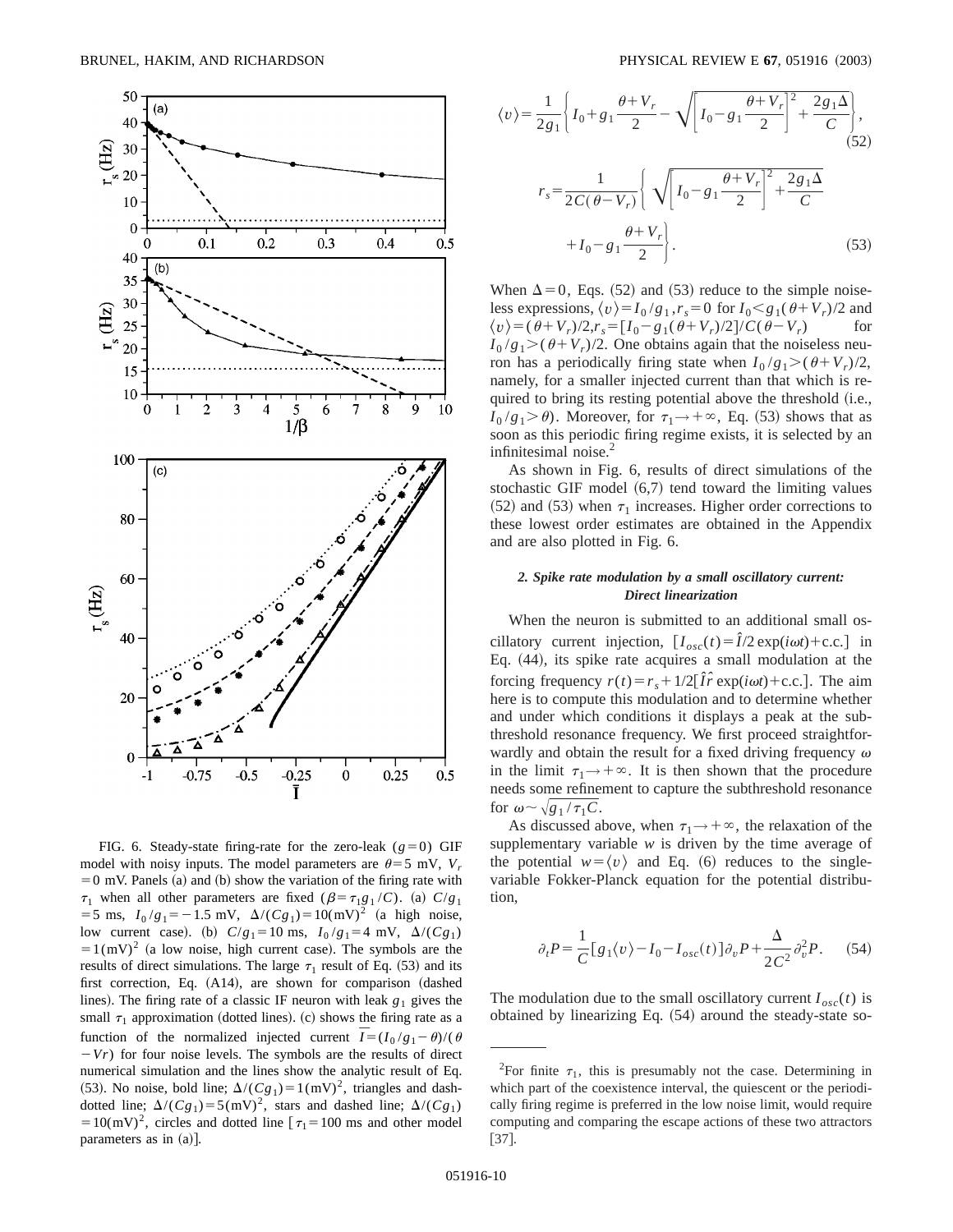

FIG. 6. Steady-state firing-rate for the zero-leak  $(g=0)$  GIF model with noisy inputs. The model parameters are  $\theta = 5$  mV,  $V_r$  $=0$  mV. Panels (a) and (b) show the variation of the firing rate with  $\tau_1$  when all other parameters are fixed ( $\beta = \tau_1 g_1 / C$ ). (a)  $C/g_1$  $=$  5 ms,  $I_0/g_1 = -1.5$  mV,  $\Delta/(Cg_1) = 10 \text{(mV)}^2$  (a high noise, low current case). (b)  $C/g_1 = 10 \text{ ms}, I_0/g_1 = 4 \text{ mV}, \Delta/(Cg_1)$  $=1$ (mV)<sup>2</sup> (a low noise, high current case). The symbols are the results of direct simulations. The large  $\tau_1$  result of Eq. (53) and its first correction, Eq.  $(A14)$ , are shown for comparison  $(dashed)$ lines). The firing rate of a classic IF neuron with leak  $g_1$  gives the small  $\tau_1$  approximation (dotted lines). (c) shows the firing rate as a function of the normalized injected current  $\overline{I} = (I_0 / g_1 - \theta) / (\theta)$  $-Vr$ ) for four noise levels. The symbols are the results of direct numerical simulation and the lines show the analytic result of Eq. (53). No noise, bold line;  $\Delta/(Cg_1) = 1(mV)^2$ , triangles and dashdotted line;  $\Delta/(Cg_1) = 5(mV)^2$ , stars and dashed line;  $\Delta/(Cg_1)$  $=10(mV)^2$ , circles and dotted line  $\tau_1=100$  ms and other model parameters as in  $(a)$ ].

$$
\langle v \rangle = \frac{1}{2g_1} \left\{ I_0 + g_1 \frac{\theta + V_r}{2} - \sqrt{\left[ I_0 - g_1 \frac{\theta + V_r}{2} \right]^2 + \frac{2g_1 \Delta}{C}} \right\},\tag{52}
$$
\n
$$
r_s = \frac{1}{2C(\theta - V_r)} \left\{ \sqrt{\left[ I_0 - g_1 \frac{\theta + V_r}{2} \right]^2 + \frac{2g_1 \Delta}{C}} + I_0 - g_1 \frac{\theta + V_r}{2} \right\}.\tag{53}
$$

When  $\Delta=0$ , Eqs. (52) and (53) reduce to the simple noiseless expressions,  $\langle v \rangle = I_0 / g_1$ ,  $r_s = 0$  for  $I_0 < g_1(\theta + V_r)/2$  and  $\langle v \rangle = (\theta + V_r)/2, r_s = [I_0 - g_1(\theta + V_r)/2]/C(\theta - V_r)$  for  $I_0/g_1$  >  $(\theta + V_r)/2$ . One obtains again that the noiseless neuron has a periodically firing state when  $I_0/g_1 > (\theta + V_r)/2$ , namely, for a smaller injected current than that which is required to bring its resting potential above the threshold (i.e.,  $I_0/g_1 > \theta$ ). Moreover, for  $\tau_1 \rightarrow +\infty$ , Eq. (53) shows that as soon as this periodic firing regime exists, it is selected by an infinitesimal noise.<sup>2</sup>

As shown in Fig. 6, results of direct simulations of the stochastic GIF model  $(6,7)$  tend toward the limiting values  $(52)$  and  $(53)$  when  $\tau_1$  increases. Higher order corrections to these lowest order estimates are obtained in the Appendix and are also plotted in Fig. 6.

### *2. Spike rate modulation by a small oscillatory current: Direct linearization*

When the neuron is submitted to an additional small oscillatory current injection,  $[I_{osc}(t) = \hat{I}/2 \exp(i\omega t) + \text{c.c.}]$  in Eq.  $(44)$ , its spike rate acquires a small modulation at the forcing frequency  $r(t) = r_s + 1/2[\hat{I}\hat{r} \exp(i\omega t) + \text{c.c.}]$ . The aim here is to compute this modulation and to determine whether and under which conditions it displays a peak at the subthreshold resonance frequency. We first proceed straightforwardly and obtain the result for a fixed driving frequency  $\omega$ in the limit  $\tau_1 \rightarrow +\infty$ . It is then shown that the procedure needs some refinement to capture the subthreshold resonance for  $\omega \sim \sqrt{g_1 / \tau_1 C}$ .

As discussed above, when  $\tau_1 \rightarrow +\infty$ , the relaxation of the supplementary variable *w* is driven by the time average of the potential  $w = \langle v \rangle$  and Eq. (6) reduces to the singlevariable Fokker-Planck equation for the potential distribution,

$$
\partial_t P = \frac{1}{C} \big[ g_1 \langle v \rangle - I_0 - I_{osc}(t) \big] \partial_v P + \frac{\Delta}{2C^2} \partial_v^2 P. \tag{54}
$$

The modulation due to the small oscillatory current  $I_{osc}(t)$  is obtained by linearizing Eq.  $(54)$  around the steady-state so-

<sup>&</sup>lt;sup>2</sup>For finite  $\tau_1$ , this is presumably not the case. Determining in which part of the coexistence interval, the quiescent or the periodically firing regime is preferred in the low noise limit, would require computing and comparing the escape actions of these two attractors  $[37]$ .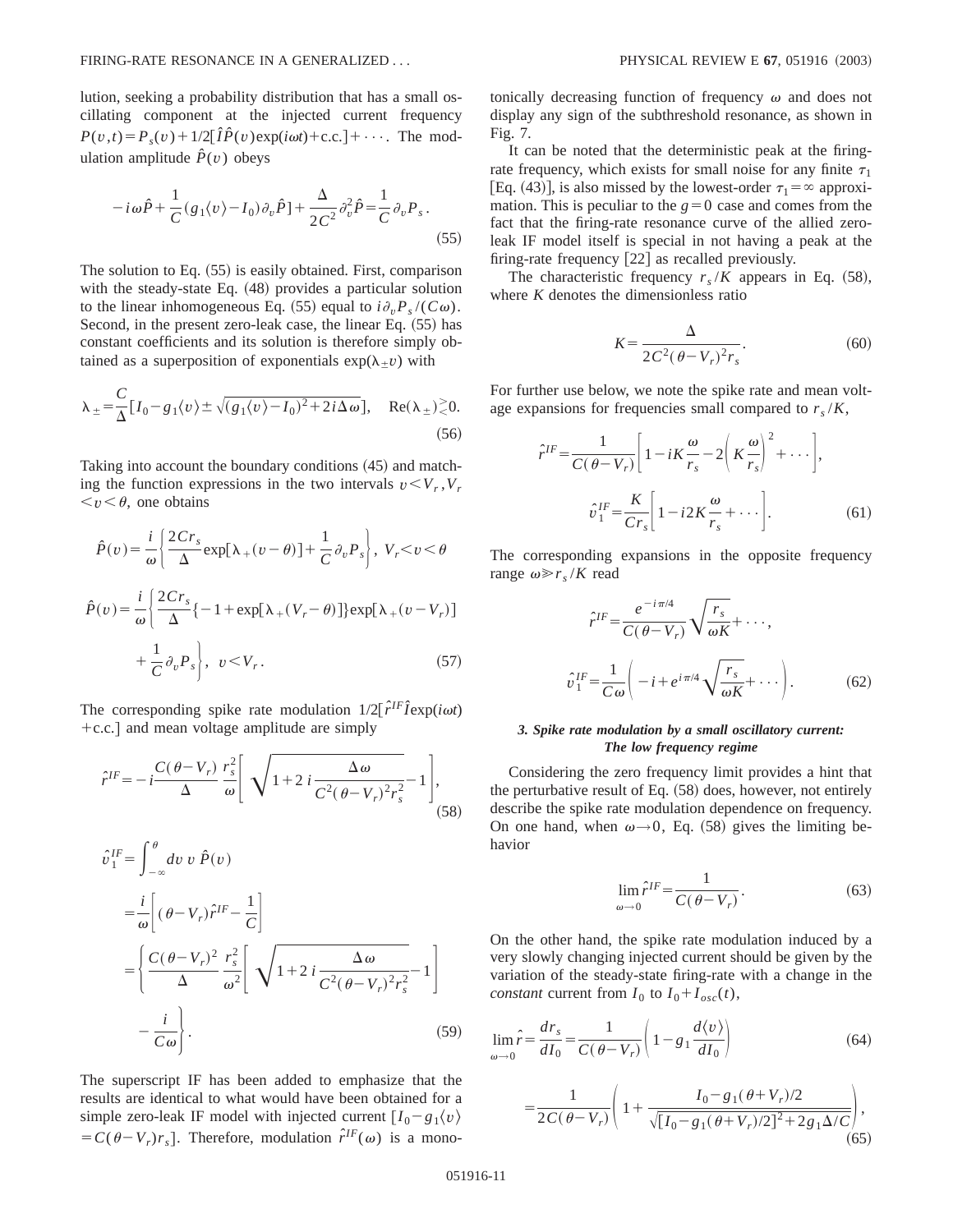lution, seeking a probability distribution that has a small oscillating component at the injected current frequency  $P(v,t) = P_s(v) + 1/2[\hat{I}\hat{P}(v) \exp(i\omega t) + c.c.] + \cdots$ . The modulation amplitude  $\hat{P}(v)$  obeys

$$
-i\omega\hat{P} + \frac{1}{C}(g_1\langle v\rangle - I_0)\partial_v\hat{P}] + \frac{\Delta}{2C^2}\partial_v^2\hat{P} = \frac{1}{C}\partial_vP_s.
$$
\n(55)

The solution to Eq.  $(55)$  is easily obtained. First, comparison with the steady-state Eq.  $(48)$  provides a particular solution to the linear inhomogeneous Eq. (55) equal to  $i\partial_p P_s / (C\omega)$ . Second, in the present zero-leak case, the linear Eq.  $(55)$  has constant coefficients and its solution is therefore simply obtained as a superposition of exponentials  $exp(\lambda_{+}v)$  with

$$
\lambda_{\pm} = \frac{C}{\Delta} [I_0 - g_1 \langle v \rangle \pm \sqrt{(g_1 \langle v \rangle - I_0)^2 + 2i \Delta \omega}], \quad \text{Re}(\lambda_{\pm}) \ge 0. \tag{56}
$$

Taking into account the boundary conditions  $(45)$  and matching the function expressions in the two intervals  $v < V_r$ ,  $V_r$  $\langle v \rangle \langle \theta, \rangle$  one obtains

$$
\hat{P}(v) = \frac{i}{\omega} \left\{ \frac{2Cr_s}{\Delta} \exp[\lambda_+(v-\theta)] + \frac{1}{C} \partial_v P_s \right\}, \ V_r < v < \theta
$$
  

$$
\hat{P}(v) = \frac{i}{\omega} \left\{ \frac{2Cr_s}{\Delta} \{-1 + \exp[\lambda_+(V_r - \theta)]\} \exp[\lambda_+(v - V_r) \right\}
$$
  

$$
+ \frac{1}{C} \partial_v P_s \right\}, \ v < V_r.
$$
 (57)

The corresponding spike rate modulation  $1/2[\hat{r}^{\text{IF}}\hat{I} \exp(i\omega t)]$  $+c.c.$  and mean voltage amplitude are simply

$$
\hat{r}^{IF} = -i\frac{C(\theta - V_r)}{\Delta} \frac{r_s^2}{\omega} \left[ \sqrt{1 + 2i\frac{\Delta\omega}{C^2(\theta - V_r)^2 r_s^2}} - 1 \right],
$$
\n(58)

$$
\hat{v}_1^{IF} = \int_{-\infty}^{\theta} dv \, v \, \hat{P}(v)
$$
\n
$$
= \frac{i}{\omega} \left[ (\theta - V_r) \hat{r}^{IF} - \frac{1}{C} \right]
$$
\n
$$
= \left\{ \frac{C(\theta - V_r)^2}{\Delta} \frac{r_s^2}{\omega^2} \left[ \sqrt{1 + 2 i \frac{\Delta \omega}{C^2 (\theta - V_r)^2 r_s^2}} - 1 \right] - \frac{i}{C \omega} \right\}.
$$
\n(59)

The superscript IF has been added to emphasize that the results are identical to what would have been obtained for a simple zero-leak IF model with injected current  $[I_0 - g_1 \langle v \rangle$  $= C(\theta - V_r)r_s$ . Therefore, modulation  $\hat{r}^{IF}(\omega)$  is a monotonically decreasing function of frequency  $\omega$  and does not display any sign of the subthreshold resonance, as shown in Fig. 7.

It can be noted that the deterministic peak at the firingrate frequency, which exists for small noise for any finite  $\tau_1$ [Eq. (43)], is also missed by the lowest-order  $\tau_1 = \infty$  approximation. This is peculiar to the  $g=0$  case and comes from the fact that the firing-rate resonance curve of the allied zeroleak IF model itself is special in not having a peak at the firing-rate frequency  $[22]$  as recalled previously.

The characteristic frequency  $r_s/K$  appears in Eq. (58), where *K* denotes the dimensionless ratio

$$
K = \frac{\Delta}{2C^2(\theta - V_r)^2 r_s}.\tag{60}
$$

For further use below, we note the spike rate and mean voltage expansions for frequencies small compared to  $r_s/K$ ,

$$
\hat{r}^{IF} = \frac{1}{C(\theta - V_r)} \left[ 1 - iK \frac{\omega}{r_s} - 2\left(K \frac{\omega}{r_s}\right)^2 + \cdots \right],
$$

$$
\hat{v}_1^{IF} = \frac{K}{Cr_s} \left[ 1 - i2K \frac{\omega}{r_s} + \cdots \right].
$$
(61)

The corresponding expansions in the opposite frequency range  $\omega \gg r_s/K$  read

$$
\hat{r}^{IF} = \frac{e^{-i\pi/4}}{C(\theta - V_r)} \sqrt{\frac{r_s}{\omega K}} + \cdots,
$$
  

$$
\hat{v}_1^{IF} = \frac{1}{C\omega} \left( -i + e^{i\pi/4} \sqrt{\frac{r_s}{\omega K}} + \cdots \right).
$$
 (62)

### *3. Spike rate modulation by a small oscillatory current: The low frequency regime*

Considering the zero frequency limit provides a hint that the perturbative result of Eq.  $(58)$  does, however, not entirely describe the spike rate modulation dependence on frequency. On one hand, when  $\omega \rightarrow 0$ , Eq. (58) gives the limiting behavior

$$
\lim_{\omega \to 0} \hat{r}^{IF} = \frac{1}{C(\theta - V_r)}.
$$
\n(63)

On the other hand, the spike rate modulation induced by a very slowly changing injected current should be given by the variation of the steady-state firing-rate with a change in the *constant* current from  $I_0$  to  $I_0 + I_{osc}(t)$ ,

$$
\lim_{\omega \to 0} \hat{r} = \frac{dr_s}{dI_0} = \frac{1}{C(\theta - V_r)} \left( 1 - g_1 \frac{d\langle v \rangle}{dI_0} \right)
$$
(64)  

$$
= \frac{1}{2C(\theta - V_r)} \left( 1 + \frac{I_0 - g_1(\theta + V_r)/2}{\sqrt{[I_0 - g_1(\theta + V_r)/2]^2 + 2g_1 \Delta/C}} \right),
$$
(65)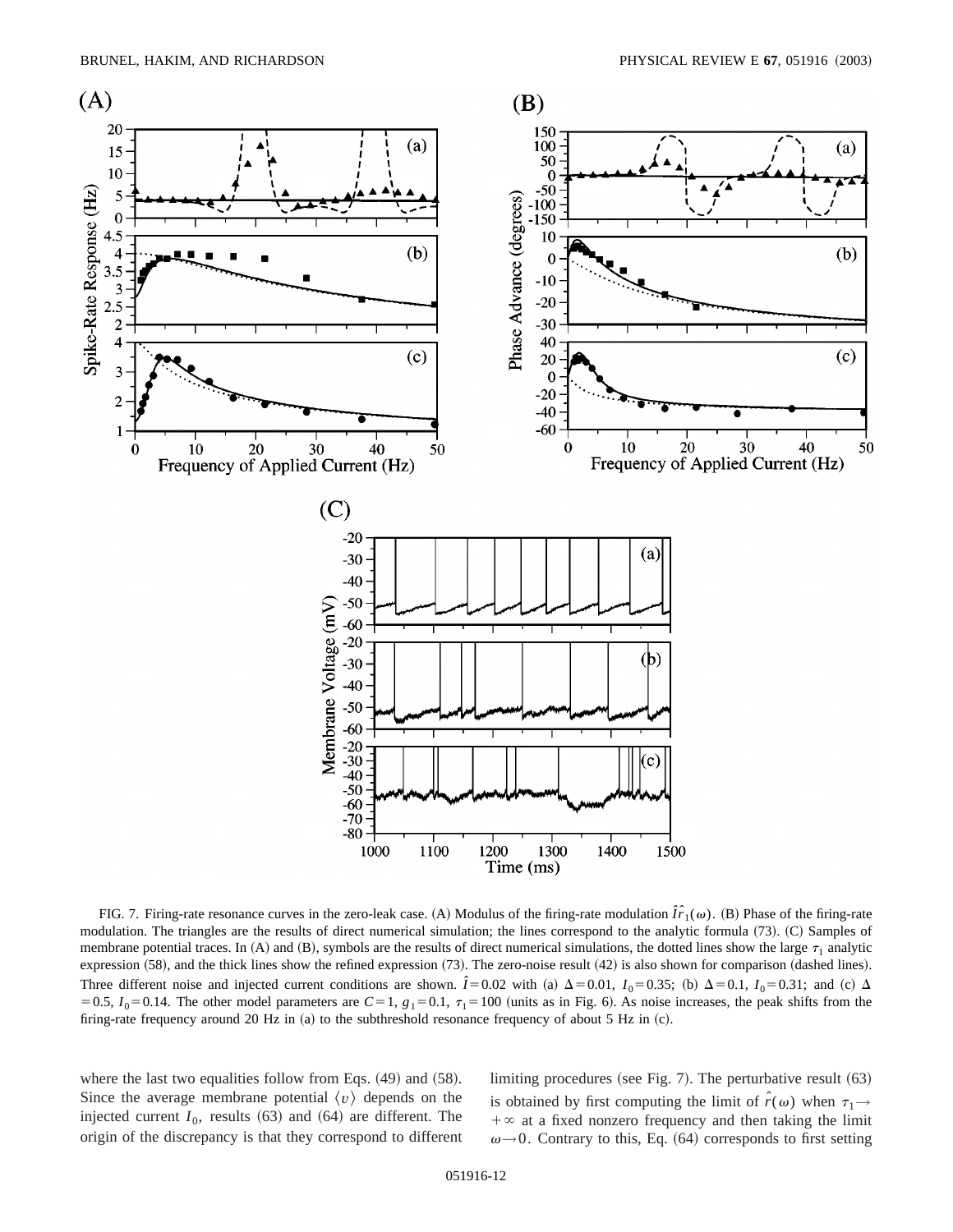

FIG. 7. Firing-rate resonance curves in the zero-leak case. (A) Modulus of the firing-rate modulation  $\hat{I}_1^r(\omega)$ . (B) Phase of the firing-rate modulation. The triangles are the results of direct numerical simulation; the lines correspond to the analytic formula (73). (C) Samples of membrane potential traces. In  $(A)$  and  $(B)$ , symbols are the results of direct numerical simulations, the dotted lines show the large  $\tau_1$  analytic expression  $(58)$ , and the thick lines show the refined expression  $(73)$ . The zero-noise result  $(42)$  is also shown for comparison  $(dashed lines)$ . Three different noise and injected current conditions are shown.  $\hat{l} = 0.02$  with (a)  $\Delta = 0.01$ ,  $I_0 = 0.35$ ; (b)  $\Delta = 0.1$ ,  $I_0 = 0.31$ ; and (c)  $\Delta$  $=0.5$ ,  $I_0=0.14$ . The other model parameters are  $C=1$ ,  $g_1=0.1$ ,  $\tau_1=100$  (units as in Fig. 6). As noise increases, the peak shifts from the firing-rate frequency around 20 Hz in  $(a)$  to the subthreshold resonance frequency of about 5 Hz in  $(c)$ .

where the last two equalities follow from Eqs.  $(49)$  and  $(58)$ . Since the average membrane potential  $\langle v \rangle$  depends on the injected current  $I_0$ , results  $(63)$  and  $(64)$  are different. The origin of the discrepancy is that they correspond to different limiting procedures (see Fig. 7). The perturbative result  $(63)$ is obtained by first computing the limit of  $\hat{r}(\omega)$  when  $\tau_1 \rightarrow$  $+\infty$  at a fixed nonzero frequency and then taking the limit  $\omega \rightarrow 0$ . Contrary to this, Eq. (64) corresponds to first setting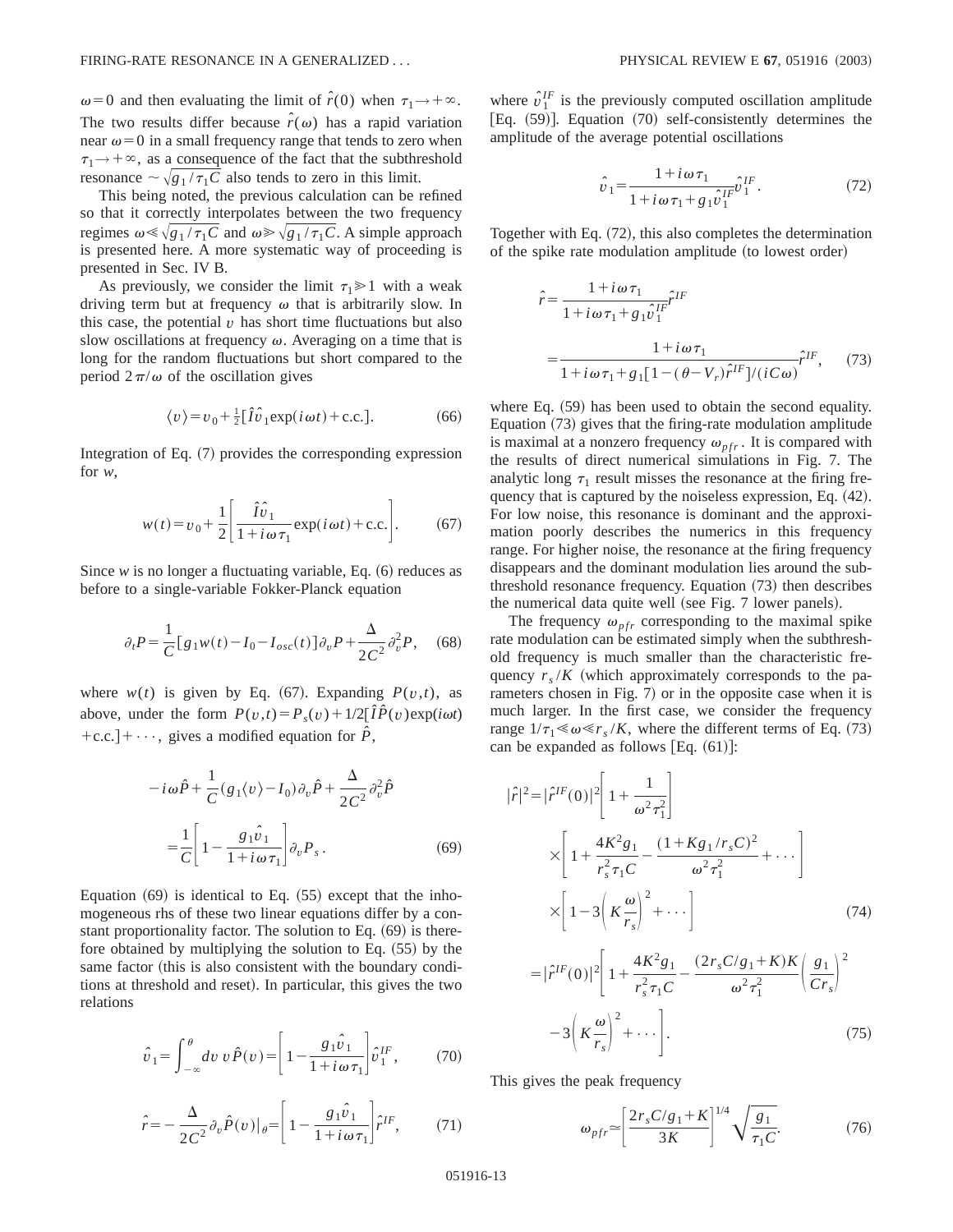$\omega = 0$  and then evaluating the limit of  $\hat{r}(0)$  when  $\tau_1 \rightarrow +\infty$ . The two results differ because  $\hat{r}(\omega)$  has a rapid variation near  $\omega$ =0 in a small frequency range that tends to zero when  $\tau_1 \rightarrow +\infty$ , as a consequence of the fact that the subthreshold resonance  $\sim \sqrt{g_1 / \tau_1 C}$  also tends to zero in this limit.

This being noted, the previous calculation can be refined so that it correctly interpolates between the two frequency regimes  $\omega \ll \sqrt{g_1 / \tau_1 C}$  and  $\omega \gg \sqrt{g_1 / \tau_1 C}$ . A simple approach is presented here. A more systematic way of proceeding is presented in Sec. IV B.

As previously, we consider the limit  $\tau_1 \geq 1$  with a weak driving term but at frequency  $\omega$  that is arbitrarily slow. In this case, the potential  $v$  has short time fluctuations but also slow oscillations at frequency  $\omega$ . Averaging on a time that is long for the random fluctuations but short compared to the period  $2\pi/\omega$  of the oscillation gives

$$
\langle v \rangle = v_0 + \frac{1}{2} [\hat{I}\hat{v}_1 \exp(i\omega t) + \text{c.c.}]. \tag{66}
$$

Integration of Eq.  $(7)$  provides the corresponding expression for *w*,

$$
w(t) = v_0 + \frac{1}{2} \left[ \frac{\hat{I}\hat{v}_1}{1 + i\omega\tau_1} \exp(i\omega t) + \text{c.c.} \right].
$$
 (67)

Since  $w$  is no longer a fluctuating variable, Eq.  $(6)$  reduces as before to a single-variable Fokker-Planck equation

$$
\partial_t P = \frac{1}{C} [g_1 w(t) - I_0 - I_{osc}(t)] \partial_v P + \frac{\Delta}{2C^2} \partial_v^2 P, \quad (68)
$$

where  $w(t)$  is given by Eq. (67). Expanding  $P(v,t)$ , as above, under the form  $P(v,t) = P_s(v) + 1/2[\hat{I}\hat{P}(v) \exp(i\omega t)$ +c.c.  $]+\cdots$ , gives a modified equation for  $\hat{P}$ ,

$$
-i\omega\hat{P} + \frac{1}{C}(g_1\langle v \rangle - I_0)\partial_v\hat{P} + \frac{\Delta}{2C^2}\partial_v^2\hat{P}
$$

$$
= \frac{1}{C}\left[1 - \frac{g_1\hat{v}_1}{1 + i\omega\tau_1}\right]\partial_vP_s.
$$
(69)

Equation  $(69)$  is identical to Eq.  $(55)$  except that the inhomogeneous rhs of these two linear equations differ by a constant proportionality factor. The solution to Eq.  $(69)$  is therefore obtained by multiplying the solution to Eq.  $(55)$  by the same factor (this is also consistent with the boundary conditions at threshold and reset). In particular, this gives the two relations

$$
\hat{v}_1 = \int_{-\infty}^{\theta} dv \, v \hat{P}(v) = \left[ 1 - \frac{g_1 \hat{v}_1}{1 + i \omega \tau_1} \right] \hat{v}_1^{IF},\tag{70}
$$

$$
\hat{r} = -\frac{\Delta}{2C^2} \partial_v \hat{P}(v) \big|_{\theta} = \left[1 - \frac{g_1 \hat{v}_1}{1 + i\omega \tau_1}\right] \hat{r}^{IF},\tag{71}
$$

where  $\hat{v}_1^{IF}$  is the previously computed oscillation amplitude [Eq.  $(59)$ ]. Equation  $(70)$  self-consistently determines the amplitude of the average potential oscillations

$$
\hat{v}_1 = \frac{1 + i\,\omega\,\tau_1}{1 + i\,\omega\,\tau_1 + g_1\hat{v}_1^{IF}} \hat{v}_1^{IF} \,. \tag{72}
$$

Together with Eq.  $(72)$ , this also completes the determination of the spike rate modulation amplitude (to lowest order)

$$
\hat{r} = \frac{1 + i\omega \tau_1}{1 + i\omega \tau_1 + g_1 \hat{v}_1^{IF}} \hat{r}^{IF}
$$
\n
$$
= \frac{1 + i\omega \tau_1}{1 + i\omega \tau_1 + g_1 [1 - (\theta - V_r) \hat{r}^{IF}] / (iC\omega)} \hat{r}^{IF}, \qquad (73)
$$

where Eq.  $(59)$  has been used to obtain the second equality. Equation  $(73)$  gives that the firing-rate modulation amplitude is maximal at a nonzero frequency  $\omega_{nfr}$ . It is compared with the results of direct numerical simulations in Fig. 7. The analytic long  $\tau_1$  result misses the resonance at the firing frequency that is captured by the noiseless expression, Eq.  $(42)$ . For low noise, this resonance is dominant and the approximation poorly describes the numerics in this frequency range. For higher noise, the resonance at the firing frequency disappears and the dominant modulation lies around the subthreshold resonance frequency. Equation  $(73)$  then describes the numerical data quite well (see Fig. 7 lower panels).

The frequency  $\omega_{\text{pfr}}$  corresponding to the maximal spike rate modulation can be estimated simply when the subthreshold frequency is much smaller than the characteristic frequency  $r_s/K$  (which approximately corresponds to the parameters chosen in Fig.  $7$ ) or in the opposite case when it is much larger. In the first case, we consider the frequency range  $1/\tau_1 \ll \omega \ll r_s/K$ , where the different terms of Eq. (73) can be expanded as follows  $|Eq. (61)|$ :

$$
|\hat{r}|^2 = |\hat{r}^{IF}(0)|^2 \left[ 1 + \frac{1}{\omega^2 \tau_1^2} \right]
$$
  
\n
$$
\times \left[ 1 + \frac{4K^2 g_1}{r_s^2 \tau_1 C} - \frac{(1 + K g_1/r_s C)^2}{\omega^2 \tau_1^2} + \cdots \right]
$$
  
\n
$$
\times \left[ 1 - 3 \left( K \frac{\omega}{r_s} \right)^2 + \cdots \right]
$$
  
\n
$$
= |\hat{r}^{IF}(0)|^2 \left[ 1 + \frac{4K^2 g_1}{r_s^2 \tau_1 C} - \frac{(2r_s C/g_1 + K)K}{\omega^2 \tau_1^2} \left( \frac{g_1}{Cr_s} \right)^2 - 3 \left( K \frac{\omega}{r_s} \right)^2 + \cdots \right].
$$
  
\n(75)

This gives the peak frequency

$$
\omega_{pfr} \simeq \left[ \frac{2r_s C/g_1 + K}{3K} \right]^{1/4} \sqrt{\frac{g_1}{\tau_1 C}}.
$$
 (76)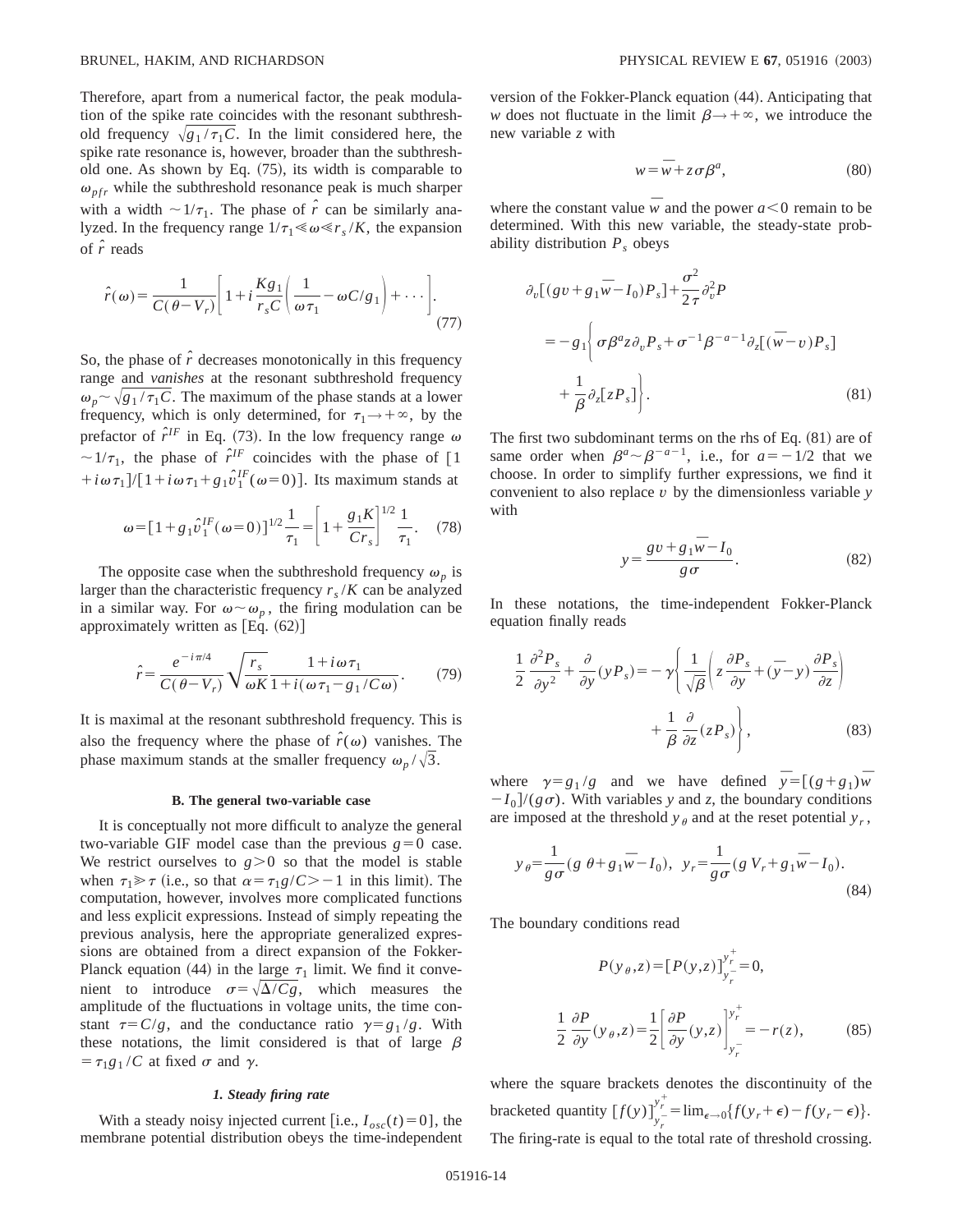Therefore, apart from a numerical factor, the peak modulation of the spike rate coincides with the resonant subthreshold frequency  $\sqrt{g_1 / \tau_1 C}$ . In the limit considered here, the spike rate resonance is, however, broader than the subthreshold one. As shown by Eq.  $(75)$ , its width is comparable to  $\omega_{\text{pfr}}$  while the subthreshold resonance peak is much sharper with a width  $\sim 1/\tau_1$ . The phase of  $\hat{r}$  can be similarly analyzed. In the frequency range  $1/\tau_1 \ll \omega \ll r_s/K$ , the expansion of *r ˆ* reads

$$
\hat{r}(\omega) = \frac{1}{C(\theta - V_r)} \left[ 1 + i \frac{Kg_1}{r_s C} \left( \frac{1}{\omega \tau_1} - \omega C / g_1 \right) + \cdots \right].
$$
\n(77)

So, the phase of  $\hat{r}$  decreases monotonically in this frequency range and *vanishes* at the resonant subthreshold frequency  $\omega_p \sim \sqrt{g_1 / \tau_1 C}$ . The maximum of the phase stands at a lower frequency, which is only determined, for  $\tau_1 \rightarrow +\infty$ , by the prefactor of  $\hat{r}^{IF}$  in Eq. (73). In the low frequency range  $\omega$  $\sim 1/\tau_1$ , the phase of  $\hat{r}^{\text{IF}}$  coincides with the phase of [1]  $+i\omega \tau_1$ ]/[1+ $i\omega \tau_1$ +g<sub>1</sub> $\hat{v}$ <sup>IF</sup>( $\omega$ =0)]. Its maximum stands at

$$
\omega = [1 + g_1 \hat{v}_1^{IF}(\omega = 0)]^{1/2} \frac{1}{\tau_1} = \left[1 + \frac{g_1 K}{Cr_s}\right]^{1/2} \frac{1}{\tau_1}.
$$
 (78)

The opposite case when the subthreshold frequency  $\omega_p$  is larger than the characteristic frequency  $r_s/K$  can be analyzed in a similar way. For  $\omega \sim \omega_p$ , the firing modulation can be approximately written as  $[Eq. (62)]$ 

$$
\hat{r} = \frac{e^{-i\pi/4}}{C(\theta - V_r)} \sqrt{\frac{r_s}{\omega K}} \frac{1 + i\omega \tau_1}{1 + i(\omega \tau_1 - g_1/C\omega)}.
$$
(79)

It is maximal at the resonant subthreshold frequency. This is also the frequency where the phase of  $\hat{r}(\omega)$  vanishes. The phase maximum stands at the smaller frequency  $\omega_p/\sqrt{3}$ .

### **B. The general two-variable case**

It is conceptually not more difficult to analyze the general two-variable GIF model case than the previous  $g=0$  case. We restrict ourselves to  $g > 0$  so that the model is stable when  $\tau_1 \gg \tau$  (i.e., so that  $\alpha = \tau_1 g/C > -1$  in this limit). The computation, however, involves more complicated functions and less explicit expressions. Instead of simply repeating the previous analysis, here the appropriate generalized expressions are obtained from a direct expansion of the Fokker-Planck equation (44) in the large  $\tau_1$  limit. We find it convenient to introduce  $\sigma = \sqrt{\Delta}/Cg$ , which measures the amplitude of the fluctuations in voltage units, the time constant  $\tau = C/g$ , and the conductance ratio  $\gamma = g_1/g$ . With these notations, the limit considered is that of large  $\beta$  $= \tau_1 g_1 / C$  at fixed  $\sigma$  and  $\gamma$ .

### *1. Steady firing rate*

With a steady noisy injected current [i.e.,  $I_{osc}(t) = 0$ ], the membrane potential distribution obeys the time-independent version of the Fokker-Planck equation  $(44)$ . Anticipating that *w* does not fluctuate in the limit  $\beta \rightarrow +\infty$ , we introduce the new variable *z* with

$$
w = \overline{w} + z \sigma \beta^a, \tag{80}
$$

where the constant value  $\overline{w}$  and the power  $a \le 0$  remain to be determined. With this new variable, the steady-state probability distribution  $P_s$  obeys

$$
\partial_v [(gv + g_1 \overline{w} - I_0) P_s] + \frac{\sigma^2}{2\tau} \partial_v^2 P
$$
  
=  $-g_1 \left\{ \sigma \beta^a z \partial_v P_s + \sigma^{-1} \beta^{-a-1} \partial_z [(\overline{w} - v) P_s] + \frac{1}{\beta} \partial_z [z P_s] \right\}.$  (81)

The first two subdominant terms on the rhs of Eq.  $(81)$  are of same order when  $\beta^a \sim \beta^{-a-1}$ , i.e., for  $a=-1/2$  that we choose. In order to simplify further expressions, we find it convenient to also replace *v* by the dimensionless variable *y* with

$$
y = \frac{gv + g_1 \overline{w} - I_0}{g \sigma}.
$$
 (82)

In these notations, the time-independent Fokker-Planck equation finally reads

$$
\frac{1}{2} \frac{\partial^2 P_s}{\partial y^2} + \frac{\partial}{\partial y} (y P_s) = -\gamma \left( \frac{1}{\sqrt{\beta}} \left( z \frac{\partial P_s}{\partial y} + (\bar{y} - y) \frac{\partial P_s}{\partial z} \right) + \frac{1}{\beta} \frac{\partial}{\partial z} (z P_s) \right),
$$
(83)

where  $\gamma = g_1/g$  and we have defined  $\bar{y} = [(g + g_1)\bar{w}$  $-I_0$ /( $g\sigma$ ). With variables *y* and *z*, the boundary conditions are imposed at the threshold  $y_{\theta}$  and at the reset potential  $y_r$ ,

$$
y_{\theta} = \frac{1}{g\sigma} (g \theta + g_1 \overline{w} - I_0), \ y_r = \frac{1}{g\sigma} (g V_r + g_1 \overline{w} - I_0).
$$
\n(84)

The boundary conditions read

$$
P(y_{\theta}, z) = [P(y, z)]_{y_{r}}^{y_{r}^{+}} = 0,
$$
  

$$
\frac{1}{2} \frac{\partial P}{\partial y}(y_{\theta}, z) = \frac{1}{2} \left[ \frac{\partial P}{\partial y}(y, z) \right]_{y_{r}^{-}}^{y_{r}^{+}} = -r(z),
$$
(85)

where the square brackets denotes the discontinuity of the bracketed quantity  $[f(y)]_{y_r}^{y_r^+} = \lim_{\epsilon \to 0} \{f(y_r + \epsilon) - f(y_r - \epsilon)\}.$ The firing-rate is equal to the total rate of threshold crossing.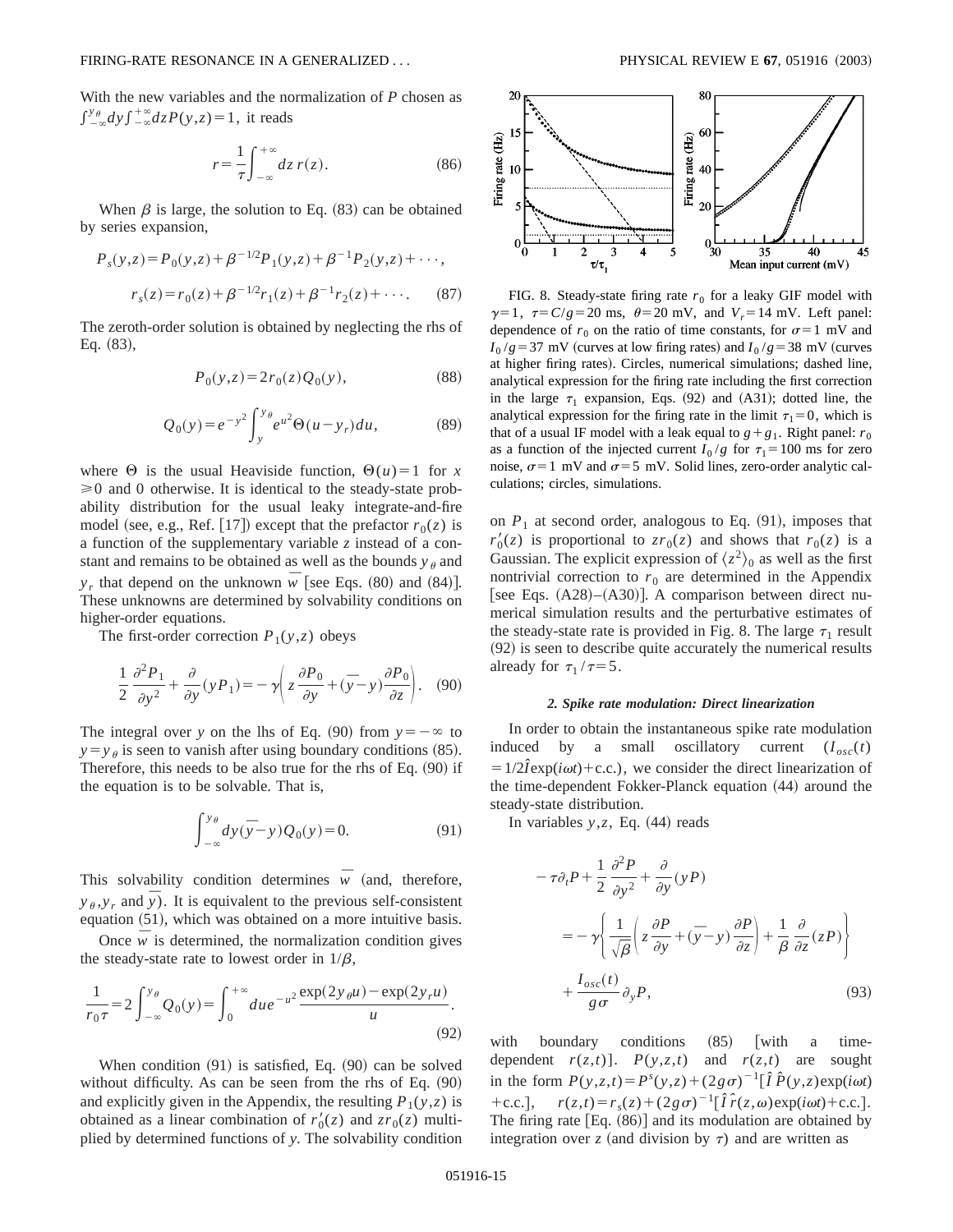With the new variables and the normalization of *P* chosen as  $\int_{-\infty}^{y_{\theta}} dy \int_{-\infty}^{+\infty} dz P(y, z) = 1$ , it reads

$$
r = \frac{1}{\tau} \int_{-\infty}^{+\infty} dz \, r(z). \tag{86}
$$

When  $\beta$  is large, the solution to Eq. (83) can be obtained by series expansion,

$$
P_s(y,z) = P_0(y,z) + \beta^{-1/2} P_1(y,z) + \beta^{-1} P_2(y,z) + \cdots,
$$
  

$$
r_s(z) = r_0(z) + \beta^{-1/2} r_1(z) + \beta^{-1} r_2(z) + \cdots.
$$
 (87)

The zeroth-order solution is obtained by neglecting the rhs of Eq.  $(83)$ ,

$$
P_0(y, z) = 2r_0(z)Q_0(y),
$$
\n(88)

$$
Q_0(y) = e^{-y^2} \int_{y}^{y_{\theta}} e^{u^2} \Theta(u - y_r) du,
$$
 (89)

where  $\Theta$  is the usual Heaviside function,  $\Theta(u)=1$  for *x*  $\geq 0$  and 0 otherwise. It is identical to the steady-state probability distribution for the usual leaky integrate-and-fire model (see, e.g., Ref. [17]) except that the prefactor  $r_0(z)$  is a function of the supplementary variable *z* instead of a constant and remains to be obtained as well as the bounds  $y_{\theta}$  and *y<sub>r</sub>* that depend on the unknown  $\overline{w}$  [see Eqs. (80) and (84)]. These unknowns are determined by solvability conditions on higher-order equations.

The first-order correction  $P_1(y,z)$  obeys

$$
\frac{1}{2} \frac{\partial^2 P_1}{\partial y^2} + \frac{\partial}{\partial y} (y P_1) = -\gamma \left( z \frac{\partial P_0}{\partial y} + (\overline{y} - y) \frac{\partial P_0}{\partial z} \right). \quad (90)
$$

The integral over *y* on the lhs of Eq. (90) from  $y = -\infty$  to  $y = y_\theta$  is seen to vanish after using boundary conditions (85). Therefore, this needs to be also true for the rhs of Eq.  $(90)$  if the equation is to be solvable. That is,

$$
\int_{-\infty}^{y_{\theta}} dy(\overline{y} - y) Q_0(y) = 0.
$$
 (91)

This solvability condition determines  $\overline{w}$  (and, therefore,  $y_{\theta}, y_r$  and  $\bar{y}$ ). It is equivalent to the previous self-consistent equation  $(51)$ , which was obtained on a more intuitive basis.

Once  $\overline{w}$  is determined, the normalization condition gives the steady-state rate to lowest order in  $1/\beta$ ,

$$
\frac{1}{r_0 \tau} = 2 \int_{-\infty}^{y_\theta} Q_0(y) = \int_0^{+\infty} du \, e^{-u^2} \frac{\exp(2y_\theta u) - \exp(2y_\theta u)}{u}.
$$
\n(92)

When condition  $(91)$  is satisfied, Eq.  $(90)$  can be solved without difficulty. As can be seen from the rhs of Eq.  $(90)$ and explicitly given in the Appendix, the resulting  $P_1(y, z)$  is obtained as a linear combination of  $r'_0(z)$  and  $z r_0(z)$  multiplied by determined functions of *y*. The solvability condition



FIG. 8. Steady-state firing rate  $r_0$  for a leaky GIF model with  $\gamma=1$ ,  $\tau=C/g=20$  ms,  $\theta=20$  mV, and  $V_r=14$  mV. Left panel: dependence of  $r_0$  on the ratio of time constants, for  $\sigma=1$  mV and  $I_0$  /*g* = 37 mV (curves at low firing rates) and  $I_0$  /*g* = 38 mV (curves at higher firing rates). Circles, numerical simulations; dashed line, analytical expression for the firing rate including the first correction in the large  $\tau_1$  expansion, Eqs. (92) and (A31); dotted line, the analytical expression for the firing rate in the limit  $\tau_1 = 0$ , which is that of a usual IF model with a leak equal to  $g + g_1$ . Right panel:  $r_0$ as a function of the injected current  $I_0/g$  for  $\tau_1 = 100$  ms for zero noise,  $\sigma$ =1 mV and  $\sigma$ =5 mV. Solid lines, zero-order analytic calculations; circles, simulations.

on  $P_1$  at second order, analogous to Eq.  $(91)$ , imposes that  $r'_0(z)$  is proportional to  $z r_0(z)$  and shows that  $r_0(z)$  is a Gaussian. The explicit expression of  $\langle z^2 \rangle_0$  as well as the first nontrivial correction to  $r_0$  are determined in the Appendix [see Eqs.  $(A28)–(A30)$ ]. A comparison between direct numerical simulation results and the perturbative estimates of the steady-state rate is provided in Fig. 8. The large  $\tau_1$  result  $(92)$  is seen to describe quite accurately the numerical results already for  $\tau_1 / \tau = 5$ .

## *2. Spike rate modulation: Direct linearization*

In order to obtain the instantaneous spike rate modulation induced by a small oscillatory current  $(I_{osc}(t))$  $=1/2\hat{i}$ exp( $i\omega t$ )+c.c.), we consider the direct linearization of the time-dependent Fokker-Planck equation (44) around the steady-state distribution.

In variables  $y$ , $z$ , Eq.  $(44)$  reads

$$
-\tau \partial_t P + \frac{1}{2} \frac{\partial^2 P}{\partial y^2} + \frac{\partial}{\partial y} (yP)
$$
  
=  $-\gamma \left\{ \frac{1}{\sqrt{\beta}} \left( z \frac{\partial P}{\partial y} + (\bar{y} - y) \frac{\partial P}{\partial z} \right) + \frac{1}{\beta} \frac{\partial}{\partial z} (zP) \right\}$   
+  $\frac{I_{osc}(t)}{g \sigma} \partial_y P,$  (93)

with boundary conditions  $(85)$  with a timedependent  $r(z,t)$ ].  $P(y,z,t)$  and  $r(z,t)$  are sought in the form  $P(y, z, t) = P^{s}(y, z) + (2g\sigma)^{-1}[\hat{I}P^{(y, z)}exp(i\omega t)]$ +c.c.],  $r(z,t) = r_s(z) + (2g\sigma)^{-1}[\hat{I}\hat{r}(z,\omega) \exp(i\omega t) + c.c.]$ . The firing rate  $[Eq. (86)]$  and its modulation are obtained by integration over *z* (and division by  $\tau$ ) and are written as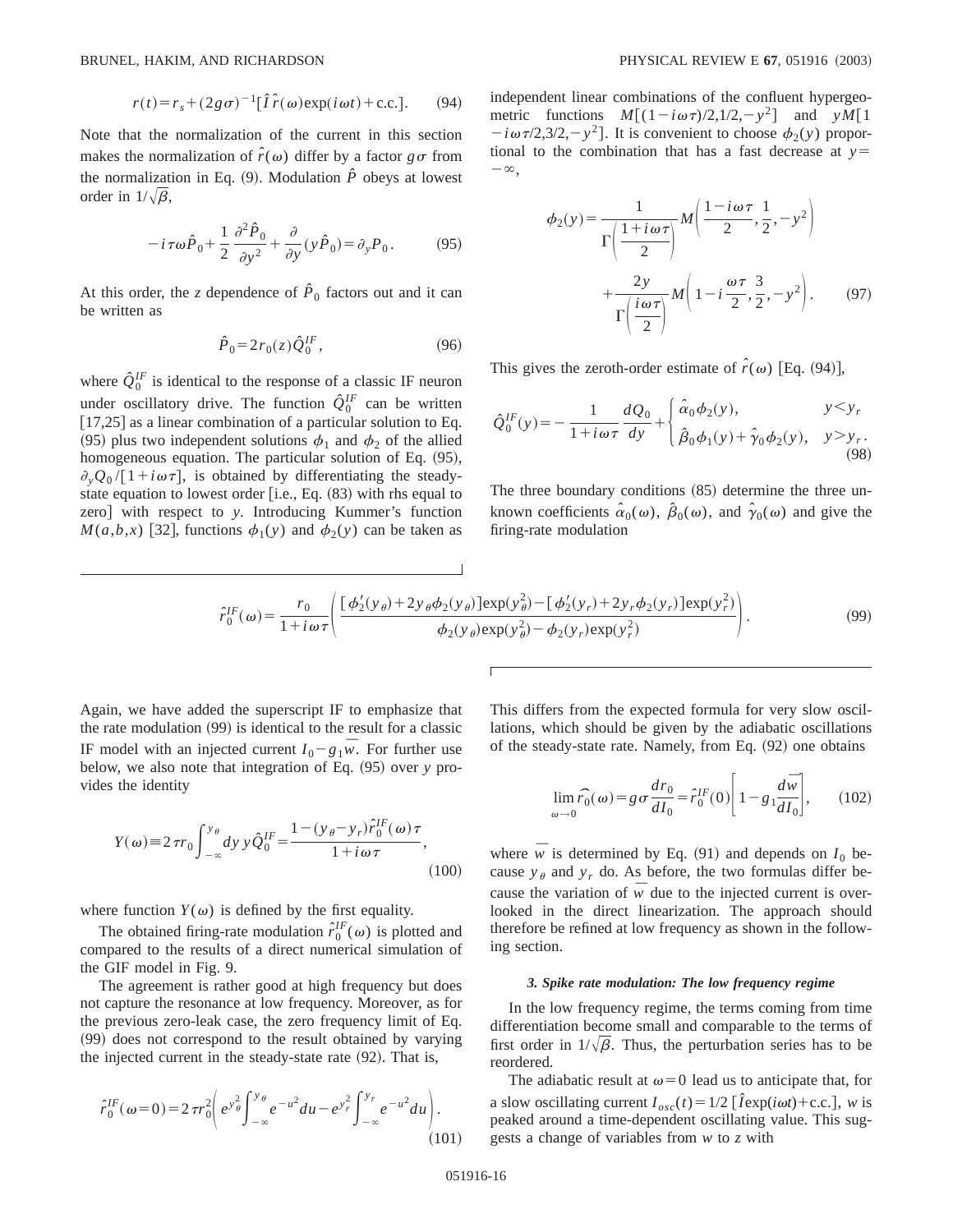$$
r(t) = r_s + (2g\sigma)^{-1} \left[\hat{I}\hat{r}(\omega) \exp(i\omega t) + \text{c.c.}\right].
$$
 (94)

Note that the normalization of the current in this section makes the normalization of  $\hat{r}(\omega)$  differ by a factor  $g\sigma$  from the normalization in Eq.  $(9)$ . Modulation  $\hat{P}$  obeys at lowest order in  $1/\sqrt{\beta}$ ,

$$
-i\tau\omega\hat{P}_0 + \frac{1}{2}\frac{\partial^2 \hat{P}_0}{\partial y^2} + \frac{\partial}{\partial y}(y\hat{P}_0) = \partial_y P_0.
$$
 (95)

At this order, the *z* dependence of  $\hat{P}_0$  factors out and it can be written as

$$
\hat{P}_0 = 2r_0(z)\hat{Q}_0^{IF},\qquad(96)
$$

where  $\hat{Q}_0^{IF}$  is identical to the response of a classic IF neuron under oscillatory drive. The function  $\hat{Q}_0^{IF}$  can be written  $[17,25]$  as a linear combination of a particular solution to Eq. (95) plus two independent solutions  $\phi_1$  and  $\phi_2$  of the allied homogeneous equation. The particular solution of Eq.  $(95)$ ,  $\partial_{\nu}Q_0/[1+i\omega\tau]$ , is obtained by differentiating the steadystate equation to lowest order  $[$ i.e., Eq.  $(83)$  with rhs equal to zero] with respect to *y*. Introducing Kummer's function  $M(a,b,x)$  [32], functions  $\phi_1(y)$  and  $\phi_2(y)$  can be taken as independent linear combinations of the confluent hypergeometric functions  $M[(1-i\omega\tau)/2,1/2,-y^2]$  and  $yM[1]$  $-i\omega\tau/2,3/2,-y^2$ . It is convenient to choose  $\phi_2(y)$  proportional to the combination that has a fast decrease at  $y=$  $-\infty$ .

$$
\phi_2(y) = \frac{1}{\Gamma\left(\frac{1+i\omega\tau}{2}\right)} M\left(\frac{1-i\omega\tau}{2}, \frac{1}{2}, -y^2\right) + \frac{2y}{\Gamma\left(\frac{i\omega\tau}{2}\right)} M\left(1 - i\frac{\omega\tau}{2}, \frac{3}{2}, -y^2\right). \tag{97}
$$

This gives the zeroth-order estimate of  $\hat{r}(\omega)$  [Eq. (94)],

$$
\hat{Q}_0^{IF}(y) = -\frac{1}{1 + i\omega\tau} \frac{dQ_0}{dy} + \begin{cases} \hat{\alpha}_0 \phi_2(y), & y < y_r \\ \hat{\beta}_0 \phi_1(y) + \hat{\gamma}_0 \phi_2(y), & y > y_r. \end{cases}
$$
\n(98)

The three boundary conditions  $(85)$  determine the three unknown coefficients  $\hat{\alpha}_0(\omega)$ ,  $\hat{\beta}_0(\omega)$ , and  $\hat{\gamma}_0(\omega)$  and give the firing-rate modulation

$$
\hat{r}_0^{IF}(\omega) = \frac{r_0}{1 + i\omega\tau} \left( \frac{\left[ \phi_2'(y_\theta) + 2y_\theta \phi_2(y_\theta) \right] \exp(y_\theta^2) - \left[ \phi_2'(y_r) + 2y_r \phi_2(y_r) \right] \exp(y_r^2)}{\phi_2(y_\theta) \exp(y_\theta^2) - \phi_2(y_r) \exp(y_r^2)} \right). \tag{99}
$$

Again, we have added the superscript IF to emphasize that the rate modulation  $(99)$  is identical to the result for a classic IF model with an injected current  $I_0 - g_1 \overline{w}$ . For further use below, we also note that integration of Eq.  $(95)$  over *y* provides the identity

$$
Y(\omega) \equiv 2\,\pi r_0 \int_{-\infty}^{y_\theta} dy \, y \hat{Q}_0^{IF} = \frac{1 - (y_\theta - y_r)\hat{r}_0^{IF}(\omega)\,\tau}{1 + i\,\omega\,\tau},\tag{100}
$$

where function  $Y(\omega)$  is defined by the first equality.

The obtained firing-rate modulation  $\hat{r}_0^{IF}(\omega)$  is plotted and compared to the results of a direct numerical simulation of the GIF model in Fig. 9.

The agreement is rather good at high frequency but does not capture the resonance at low frequency. Moreover, as for the previous zero-leak case, the zero frequency limit of Eq. (99) does not correspond to the result obtained by varying the injected current in the steady-state rate  $(92)$ . That is,

$$
\hat{r}_0^{IF}(\omega = 0) = 2 \pi r_0^2 \left( e^{y_\theta^2} \int_{-\infty}^{y_\theta} e^{-u^2} du - e^{y_r^2} \int_{-\infty}^{y_r} e^{-u^2} du \right). \tag{101}
$$

This differs from the expected formula for very slow oscillations, which should be given by the adiabatic oscillations of the steady-state rate. Namely, from Eq.  $(92)$  one obtains

$$
\lim_{\omega \to 0} \hat{r}_0(\omega) = g \sigma \frac{dr_0}{dI_0} = \hat{r}_0^{IF}(0) \left[ 1 - g_1 \frac{d\bar{w}}{dI_0} \right], \qquad (102)
$$

where  $\overline{w}$  is determined by Eq. (91) and depends on  $I_0$  because  $y_{\theta}$  and  $y_r$  do. As before, the two formulas differ because the variation of  $\overline{w}$  due to the injected current is overlooked in the direct linearization. The approach should therefore be refined at low frequency as shown in the following section.

### *3. Spike rate modulation: The low frequency regime*

In the low frequency regime, the terms coming from time differentiation become small and comparable to the terms of first order in  $1/\sqrt{\beta}$ . Thus, the perturbation series has to be reordered.

The adiabatic result at  $\omega=0$  lead us to anticipate that, for a slow oscillating current  $I_{osc}(t) = 1/2 [\hat{I} \exp(i\omega t) + \text{c.c.}],$  *w* is peaked around a time-dependent oscillating value. This suggests a change of variables from *w* to *z* with

 $)$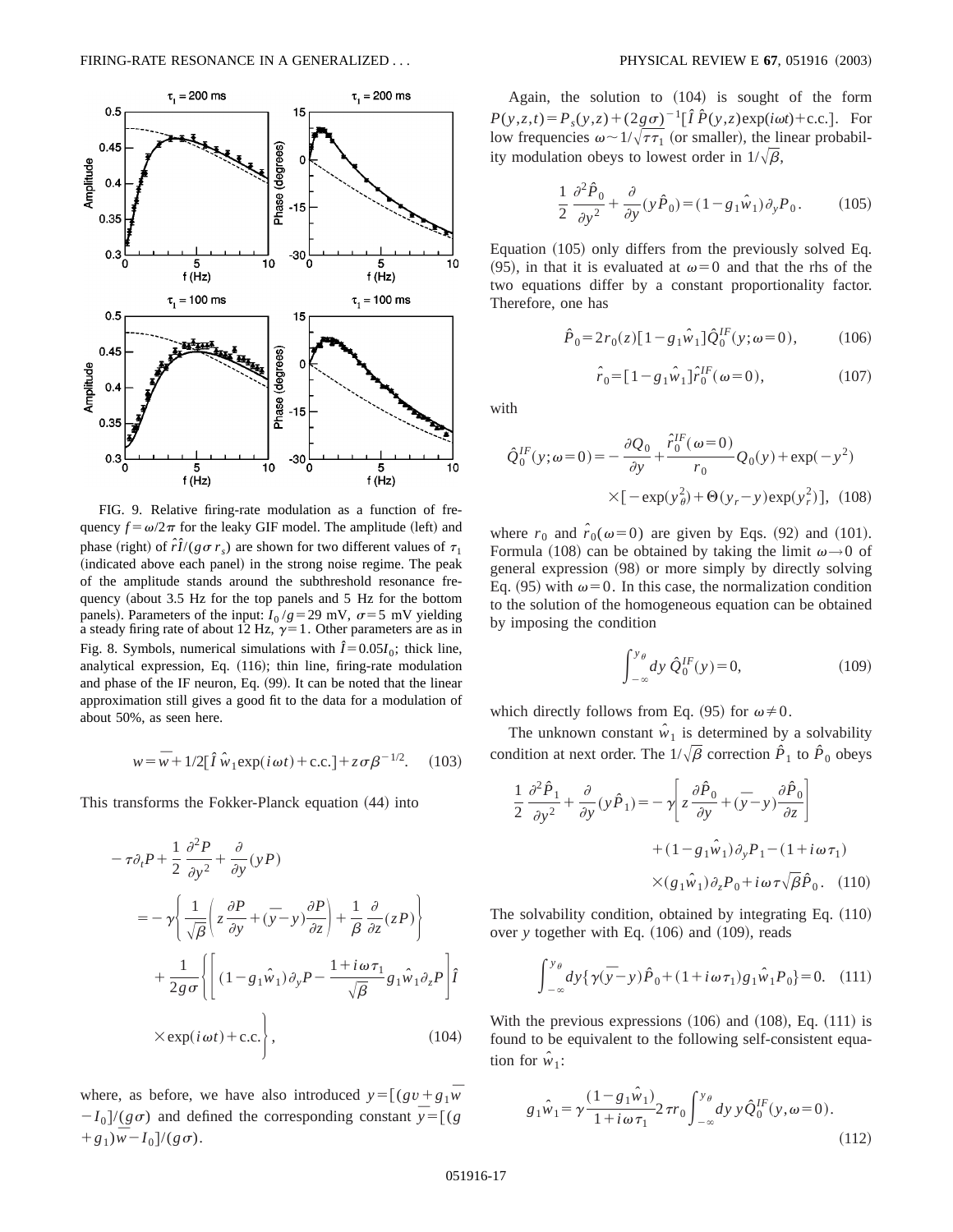

FIG. 9. Relative firing-rate modulation as a function of frequency  $f = \omega/2\pi$  for the leaky GIF model. The amplitude (left) and phase (right) of  $\hat{r}\hat{I}/(g\sigma r_s)$  are shown for two different values of  $\tau_1$ (indicated above each panel) in the strong noise regime. The peak of the amplitude stands around the subthreshold resonance frequency (about 3.5 Hz for the top panels and 5 Hz for the bottom panels). Parameters of the input:  $I_0$ / $g$ =29 mV,  $\sigma$ =5 mV yielding a steady firing rate of about 12 Hz,  $\gamma=1$ . Other parameters are as in Fig. 8. Symbols, numerical simulations with  $\hat{I} = 0.05I_0$ ; thick line, analytical expression, Eq. (116); thin line, firing-rate modulation and phase of the IF neuron, Eq. (99). It can be noted that the linear approximation still gives a good fit to the data for a modulation of about 50%, as seen here.

$$
w = \overline{w} + 1/2[\hat{I}\hat{w}_1 \exp(i\omega t) + \text{c.c.}] + z\sigma\beta^{-1/2}.
$$
 (103)

This transforms the Fokker-Planck equation  $(44)$  into

$$
-\tau \partial_t P + \frac{1}{2} \frac{\partial^2 P}{\partial y^2} + \frac{\partial}{\partial y} (yP)
$$
  

$$
= -\gamma \left\{ \frac{1}{\sqrt{\beta}} \left( z \frac{\partial P}{\partial y} + (\bar{y} - y) \frac{\partial P}{\partial z} \right) + \frac{1}{\beta} \frac{\partial}{\partial z} (zP) \right\}
$$
  

$$
+ \frac{1}{2g\sigma} \left\{ \left[ (1 - g_1 \hat{w}_1) \partial_y P - \frac{1 + i\omega \tau_1}{\sqrt{\beta}} g_1 \hat{w}_1 \partial_z P \right] \hat{I} \right\}
$$
  

$$
\times \exp(i\omega t) + \text{c.c.} \right\}, \qquad (104)
$$

where, as before, we have also introduced  $y = [(gv + g_1\overline{w}$  $-I_0$ /( $g\sigma$ ) and defined the corresponding constant  $\bar{y} = [(g_0 + g_1)/g_0]$  $+g_1\overline{w}-I_0]/(g\sigma).$ 

Again, the solution to  $(104)$  is sought of the form  $P(y, z, t) = P_s(y, z) + (2g\sigma)^{-1}[\hat{I} \hat{P}(y, z) \exp(i\omega t) + \text{c.c.}].$  For low frequencies  $\omega \sim 1/\sqrt{\tau \tau_1}$  (or smaller), the linear probability modulation obeys to lowest order in  $1/\sqrt{\beta}$ ,

$$
\frac{1}{2}\frac{\partial^2 \hat{P}_0}{\partial y^2} + \frac{\partial}{\partial y}(y\hat{P}_0) = (1 - g_1\hat{w}_1)\partial_y P_0.
$$
 (105)

Equation  $(105)$  only differs from the previously solved Eq. (95), in that it is evaluated at  $\omega=0$  and that the rhs of the two equations differ by a constant proportionality factor. Therefore, one has

$$
\hat{P}_0 = 2r_0(z)[1 - g_1\hat{w}_1]\hat{Q}_0^{IF}(y; \omega = 0), \quad (106)
$$

$$
\hat{r}_0 = [1 - g_1 \hat{w}_1] \hat{r}_0^{IF} (\omega = 0), \qquad (107)
$$

with

$$
\hat{Q}_0^{IF}(y; \omega=0) = -\frac{\partial Q_0}{\partial y} + \frac{\hat{r}_0^{IF}(\omega=0)}{r_0} Q_0(y) + \exp(-y^2)
$$

$$
\times [-\exp(y_\theta^2) + \Theta(y_r - y)\exp(y_r^2)], \text{ (108)}
$$

where  $r_0$  and  $\hat{r}_0(\omega=0)$  are given by Eqs. (92) and (101). Formula (108) can be obtained by taking the limit  $\omega \rightarrow 0$  of general expression  $(98)$  or more simply by directly solving Eq. (95) with  $\omega=0$ . In this case, the normalization condition to the solution of the homogeneous equation can be obtained by imposing the condition

$$
\int_{-\infty}^{y_{\theta}} dy \hat{Q}_0^{IF}(y) = 0,
$$
\n(109)

which directly follows from Eq. (95) for  $\omega \neq 0$ .

The unknown constant  $\hat{w}_1$  is determined by a solvability condition at next order. The  $1/\sqrt{\beta}$  correction  $\hat{P}_1$  to  $\hat{P}_0$  obeys

$$
\frac{1}{2} \frac{\partial^2 \hat{P}_1}{\partial y^2} + \frac{\partial}{\partial y} (y \hat{P}_1) = -\gamma \left[ z \frac{\partial \hat{P}_0}{\partial y} + (\bar{y} - y) \frac{\partial \hat{P}_0}{\partial z} \right] \n+ (1 - g_1 \hat{w}_1) \partial_y P_1 - (1 + i \omega \tau_1) \n\times (g_1 \hat{w}_1) \partial_z P_0 + i \omega \tau \sqrt{\beta} \hat{P}_0.
$$
 (110)

The solvability condition, obtained by integrating Eq.  $(110)$ over *y* together with Eq. (106) and (109), reads

$$
\int_{-\infty}^{y_{\theta}} dy \{ \gamma(\bar{y} - y) \hat{P}_0 + (1 + i\omega \tau_1) g_1 \hat{w}_1 P_0 \} = 0.
$$
 (111)

With the previous expressions  $(106)$  and  $(108)$ , Eq.  $(111)$  is found to be equivalent to the following self-consistent equation for  $\hat{w}_1$ :

$$
g_1\hat{w}_1 = \gamma \frac{(1 - g_1\hat{w}_1)}{1 + i\omega \tau_1} 2\,\pi r_0 \int_{-\infty}^{y_\theta} dy \, y \hat{Q}_0^{IF}(y, \omega = 0). \tag{112}
$$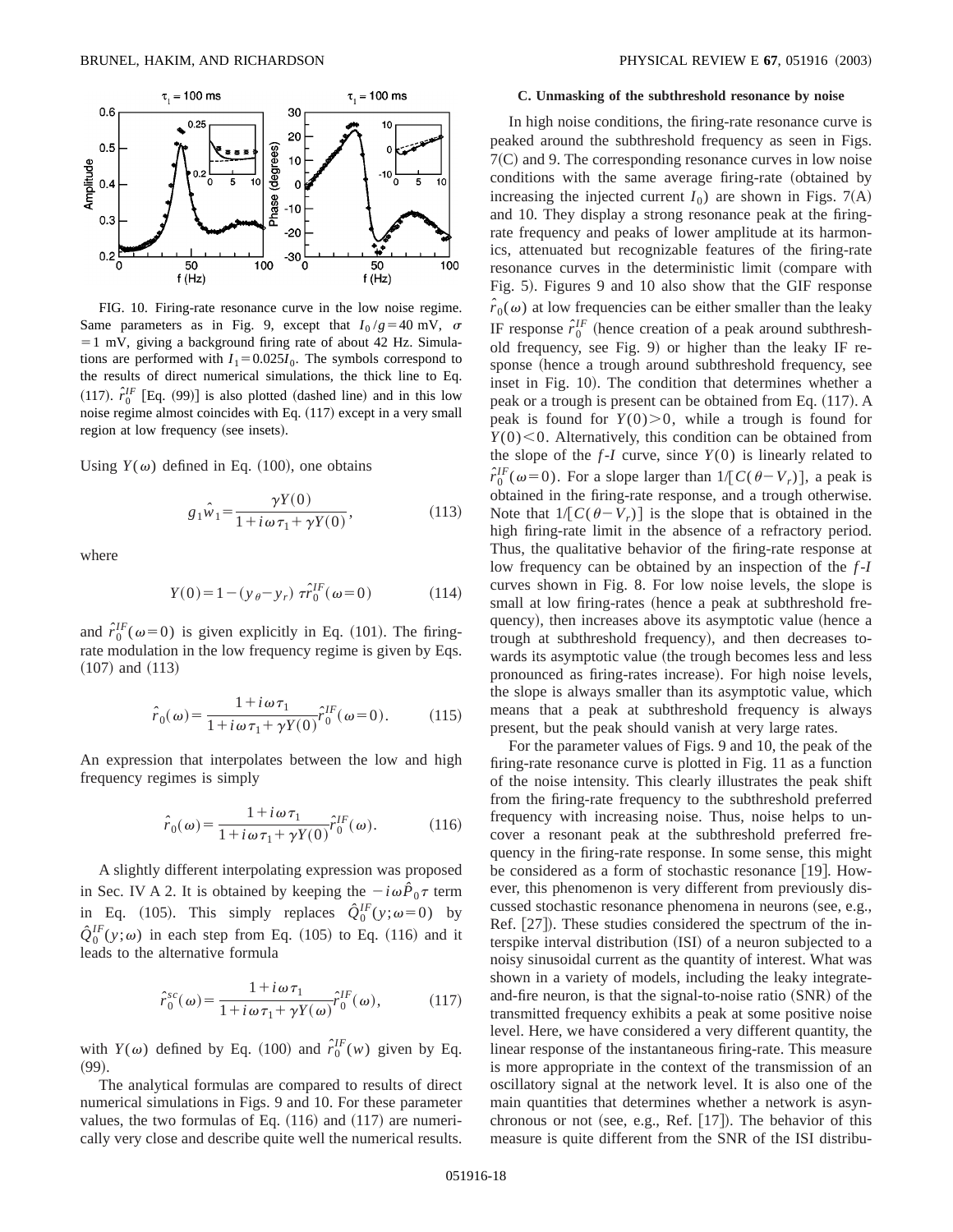

FIG. 10. Firing-rate resonance curve in the low noise regime. Same parameters as in Fig. 9, except that  $I_0/g = 40$  mV,  $\sigma$  $=1$  mV, giving a background firing rate of about 42 Hz. Simulations are performed with  $I_1 = 0.025I_0$ . The symbols correspond to the results of direct numerical simulations, the thick line to Eq. (117).  $\hat{r}_0^{IF}$  [Eq. (99)] is also plotted (dashed line) and in this low noise regime almost coincides with Eq.  $(117)$  except in a very small region at low frequency (see insets).

Using  $Y(\omega)$  defined in Eq. (100), one obtains

$$
g_1\hat{w}_1 = \frac{\gamma Y(0)}{1 + i\omega \tau_1 + \gamma Y(0)},
$$
\n(113)

where

$$
Y(0) = 1 - (y_{\theta} - y_r) \ \tau \hat{r}_0^{IF}(\omega = 0)
$$
 (114)

and  $\hat{r}_0^{IF}(\omega=0)$  is given explicitly in Eq. (101). The firingrate modulation in the low frequency regime is given by Eqs.  $(107)$  and  $(113)$ 

$$
\hat{r}_0(\omega) = \frac{1 + i\omega\tau_1}{1 + i\omega\tau_1 + \gamma Y(0)} \hat{r}_0^{IF}(\omega = 0).
$$
 (115)

An expression that interpolates between the low and high frequency regimes is simply

$$
\hat{r}_0(\omega) = \frac{1 + i\omega \tau_1}{1 + i\omega \tau_1 + \gamma Y(0)} \hat{r}_0^{IF}(\omega).
$$
 (116)

A slightly different interpolating expression was proposed in Sec. IV A 2. It is obtained by keeping the  $-i\omega\hat{P}_0\tau$  term in Eq. (105). This simply replaces  $\hat{Q}_0^{IF}(y;\omega=0)$  by  $\hat{Q}_0^{IF}(y;\omega)$  in each step from Eq. (105) to Eq. (116) and it leads to the alternative formula

$$
\hat{r}_0^{sc}(\omega) = \frac{1 + i\omega\tau_1}{1 + i\omega\tau_1 + \gamma Y(\omega)} \hat{r}_0^{IF}(\omega),\tag{117}
$$

with  $Y(\omega)$  defined by Eq. (100) and  $\hat{r}_0^{IF}(w)$  given by Eq.  $(99).$ 

The analytical formulas are compared to results of direct numerical simulations in Figs. 9 and 10. For these parameter values, the two formulas of Eq.  $(116)$  and  $(117)$  are numerically very close and describe quite well the numerical results.

#### **C. Unmasking of the subthreshold resonance by noise**

In high noise conditions, the firing-rate resonance curve is peaked around the subthreshold frequency as seen in Figs.  $7(C)$  and 9. The corresponding resonance curves in low noise conditions with the same average firing-rate (obtained by increasing the injected current  $I_0$ ) are shown in Figs. 7(A) and 10. They display a strong resonance peak at the firingrate frequency and peaks of lower amplitude at its harmonics, attenuated but recognizable features of the firing-rate resonance curves in the deterministic limit (compare with Fig. 5). Figures 9 and 10 also show that the GIF response  $\hat{r}_0(\omega)$  at low frequencies can be either smaller than the leaky IF response  $\hat{r}_0^{\text{IF}}$  (hence creation of a peak around subthreshold frequency, see Fig.  $9$ ) or higher than the leaky IF response (hence a trough around subthreshold frequency, see inset in Fig. 10). The condition that determines whether a peak or a trough is present can be obtained from Eq.  $(117)$ . A peak is found for  $Y(0) > 0$ , while a trough is found for  $Y(0)$  < 0. Alternatively, this condition can be obtained from the slope of the  $f-I$  curve, since  $Y(0)$  is linearly related to  $\hat{r}_0^{IF}(\omega=0)$ . For a slope larger than  $1/[C(\theta-V_r)]$ , a peak is obtained in the firing-rate response, and a trough otherwise. Note that  $1/[C(\theta-V_r)]$  is the slope that is obtained in the high firing-rate limit in the absence of a refractory period. Thus, the qualitative behavior of the firing-rate response at low frequency can be obtained by an inspection of the *f*-*I* curves shown in Fig. 8. For low noise levels, the slope is small at low firing-rates (hence a peak at subthreshold frequency), then increases above its asymptotic value (hence a trough at subthreshold frequency), and then decreases towards its asymptotic value (the trough becomes less and less pronounced as firing-rates increase). For high noise levels, the slope is always smaller than its asymptotic value, which means that a peak at subthreshold frequency is always present, but the peak should vanish at very large rates.

For the parameter values of Figs. 9 and 10, the peak of the firing-rate resonance curve is plotted in Fig. 11 as a function of the noise intensity. This clearly illustrates the peak shift from the firing-rate frequency to the subthreshold preferred frequency with increasing noise. Thus, noise helps to uncover a resonant peak at the subthreshold preferred frequency in the firing-rate response. In some sense, this might be considered as a form of stochastic resonance  $[19]$ . However, this phenomenon is very different from previously discussed stochastic resonance phenomena in neurons (see, e.g., Ref.  $[27]$ ). These studies considered the spectrum of the interspike interval distribution (ISI) of a neuron subjected to a noisy sinusoidal current as the quantity of interest. What was shown in a variety of models, including the leaky integrateand-fire neuron, is that the signal-to-noise ratio  $(SNR)$  of the transmitted frequency exhibits a peak at some positive noise level. Here, we have considered a very different quantity, the linear response of the instantaneous firing-rate. This measure is more appropriate in the context of the transmission of an oscillatory signal at the network level. It is also one of the main quantities that determines whether a network is asynchronous or not (see, e.g., Ref.  $[17]$ ). The behavior of this measure is quite different from the SNR of the ISI distribu-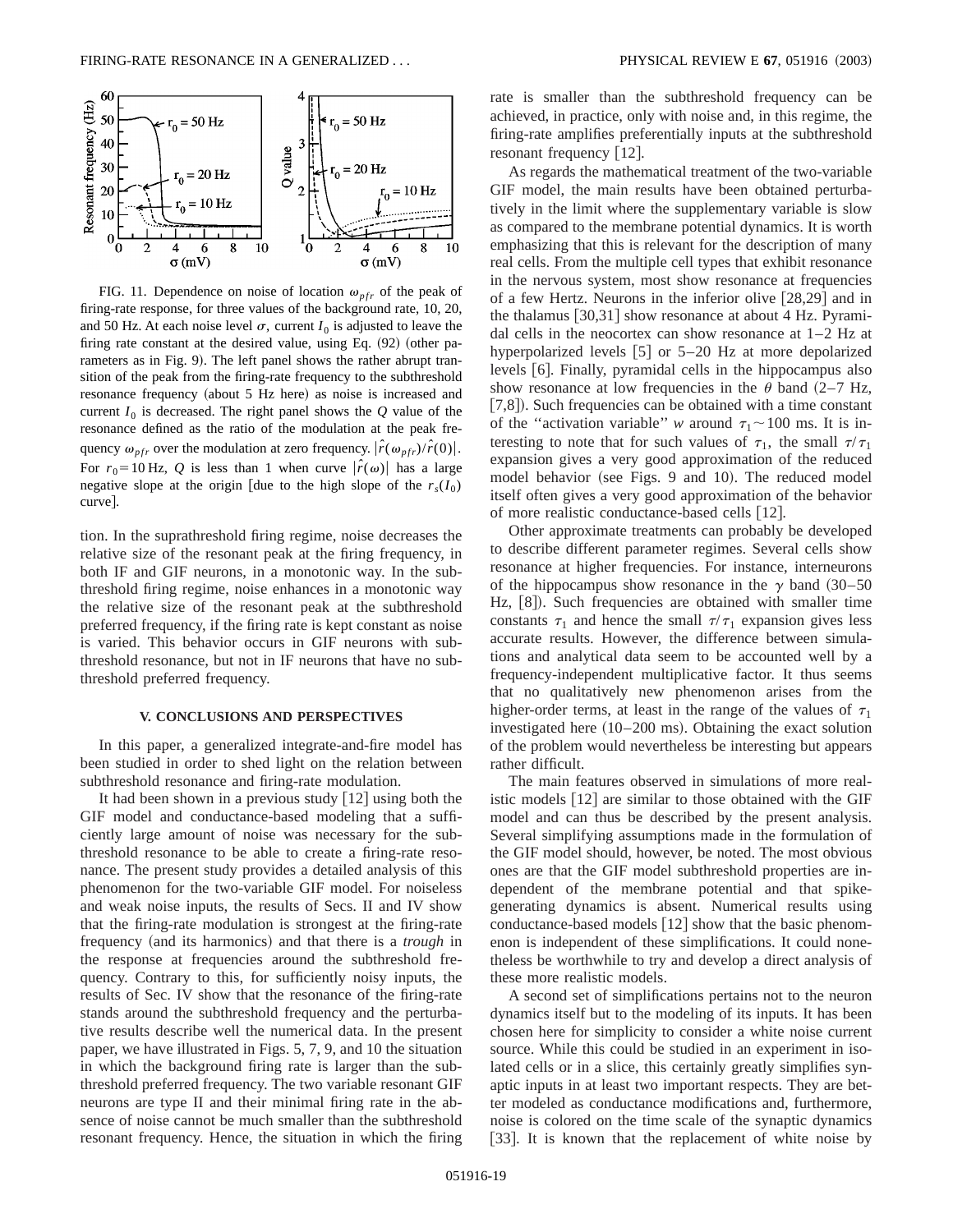

FIG. 11. Dependence on noise of location  $\omega_{pfr}$  of the peak of firing-rate response, for three values of the background rate, 10, 20, and 50 Hz. At each noise level  $\sigma$ , current  $I_0$  is adjusted to leave the firing rate constant at the desired value, using Eq.  $(92)$  (other parameters as in Fig. 9). The left panel shows the rather abrupt transition of the peak from the firing-rate frequency to the subthreshold resonance frequency (about 5 Hz here) as noise is increased and current  $I_0$  is decreased. The right panel shows the  $Q$  value of the resonance defined as the ratio of the modulation at the peak frequency  $\omega_{pfr}$  over the modulation at zero frequency.  $|\hat{r}(\omega_{pfr})/\hat{r}(0)|$ . For  $r_0 = 10$  Hz, Q is less than 1 when curve  $|\hat{r}(\omega)|$  has a large negative slope at the origin [due to the high slope of the  $r<sub>s</sub>(I<sub>0</sub>)$ curve].

tion. In the suprathreshold firing regime, noise decreases the relative size of the resonant peak at the firing frequency, in both IF and GIF neurons, in a monotonic way. In the subthreshold firing regime, noise enhances in a monotonic way the relative size of the resonant peak at the subthreshold preferred frequency, if the firing rate is kept constant as noise is varied. This behavior occurs in GIF neurons with subthreshold resonance, but not in IF neurons that have no subthreshold preferred frequency.

### **V. CONCLUSIONS AND PERSPECTIVES**

In this paper, a generalized integrate-and-fire model has been studied in order to shed light on the relation between subthreshold resonance and firing-rate modulation.

It had been shown in a previous study  $\lceil 12 \rceil$  using both the GIF model and conductance-based modeling that a sufficiently large amount of noise was necessary for the subthreshold resonance to be able to create a firing-rate resonance. The present study provides a detailed analysis of this phenomenon for the two-variable GIF model. For noiseless and weak noise inputs, the results of Secs. II and IV show that the firing-rate modulation is strongest at the firing-rate frequency (and its harmonics) and that there is a *trough* in the response at frequencies around the subthreshold frequency. Contrary to this, for sufficiently noisy inputs, the results of Sec. IV show that the resonance of the firing-rate stands around the subthreshold frequency and the perturbative results describe well the numerical data. In the present paper, we have illustrated in Figs. 5, 7, 9, and 10 the situation in which the background firing rate is larger than the subthreshold preferred frequency. The two variable resonant GIF neurons are type II and their minimal firing rate in the absence of noise cannot be much smaller than the subthreshold resonant frequency. Hence, the situation in which the firing rate is smaller than the subthreshold frequency can be achieved, in practice, only with noise and, in this regime, the firing-rate amplifies preferentially inputs at the subthreshold resonant frequency  $[12]$ .

As regards the mathematical treatment of the two-variable GIF model, the main results have been obtained perturbatively in the limit where the supplementary variable is slow as compared to the membrane potential dynamics. It is worth emphasizing that this is relevant for the description of many real cells. From the multiple cell types that exhibit resonance in the nervous system, most show resonance at frequencies of a few Hertz. Neurons in the inferior olive  $[28,29]$  and in the thalamus  $[30,31]$  show resonance at about 4 Hz. Pyramidal cells in the neocortex can show resonance at 1–2 Hz at hyperpolarized levels  $[5]$  or 5–20 Hz at more depolarized levels [6]. Finally, pyramidal cells in the hippocampus also show resonance at low frequencies in the  $\theta$  band (2–7 Hz,  $[7,8]$ ). Such frequencies can be obtained with a time constant of the "activation variable" *w* around  $\tau_1 \sim 100$  ms. It is interesting to note that for such values of  $\tau_1$ , the small  $\tau/\tau_1$ expansion gives a very good approximation of the reduced model behavior (see Figs. 9 and 10). The reduced model itself often gives a very good approximation of the behavior of more realistic conductance-based cells [12].

Other approximate treatments can probably be developed to describe different parameter regimes. Several cells show resonance at higher frequencies. For instance, interneurons of the hippocampus show resonance in the  $\gamma$  band (30–50 Hz, [8]). Such frequencies are obtained with smaller time constants  $\tau_1$  and hence the small  $\tau/\tau_1$  expansion gives less accurate results. However, the difference between simulations and analytical data seem to be accounted well by a frequency-independent multiplicative factor. It thus seems that no qualitatively new phenomenon arises from the higher-order terms, at least in the range of the values of  $\tau_1$ investigated here  $(10–200 \text{ ms})$ . Obtaining the exact solution of the problem would nevertheless be interesting but appears rather difficult.

The main features observed in simulations of more realistic models  $|12|$  are similar to those obtained with the GIF model and can thus be described by the present analysis. Several simplifying assumptions made in the formulation of the GIF model should, however, be noted. The most obvious ones are that the GIF model subthreshold properties are independent of the membrane potential and that spikegenerating dynamics is absent. Numerical results using conductance-based models  $[12]$  show that the basic phenomenon is independent of these simplifications. It could nonetheless be worthwhile to try and develop a direct analysis of these more realistic models.

A second set of simplifications pertains not to the neuron dynamics itself but to the modeling of its inputs. It has been chosen here for simplicity to consider a white noise current source. While this could be studied in an experiment in isolated cells or in a slice, this certainly greatly simplifies synaptic inputs in at least two important respects. They are better modeled as conductance modifications and, furthermore, noise is colored on the time scale of the synaptic dynamics [33]. It is known that the replacement of white noise by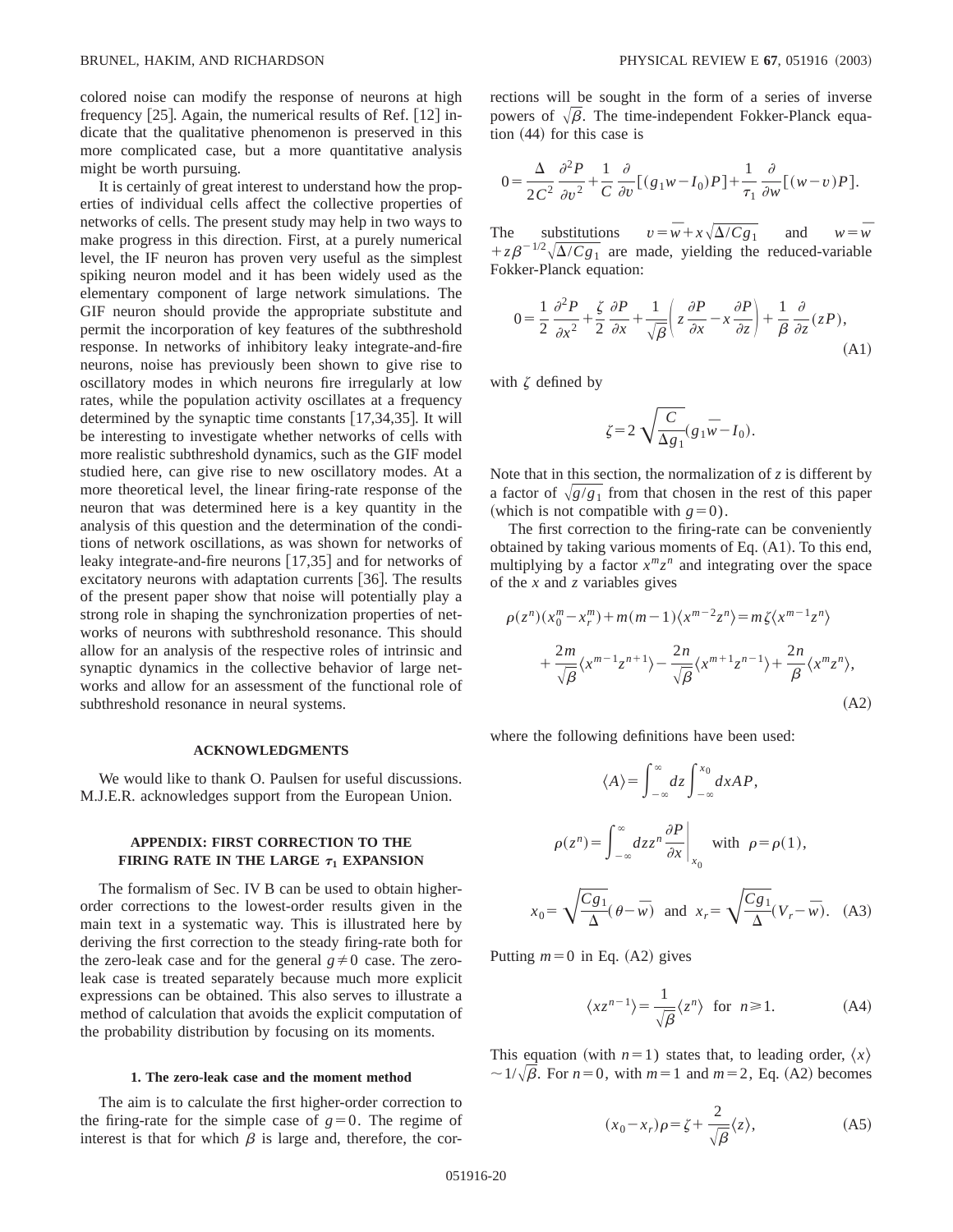colored noise can modify the response of neurons at high frequency  $[25]$ . Again, the numerical results of Ref.  $[12]$  indicate that the qualitative phenomenon is preserved in this more complicated case, but a more quantitative analysis might be worth pursuing.

It is certainly of great interest to understand how the properties of individual cells affect the collective properties of networks of cells. The present study may help in two ways to make progress in this direction. First, at a purely numerical level, the IF neuron has proven very useful as the simplest spiking neuron model and it has been widely used as the elementary component of large network simulations. The GIF neuron should provide the appropriate substitute and permit the incorporation of key features of the subthreshold response. In networks of inhibitory leaky integrate-and-fire neurons, noise has previously been shown to give rise to oscillatory modes in which neurons fire irregularly at low rates, while the population activity oscillates at a frequency determined by the synaptic time constants  $[17,34,35]$ . It will be interesting to investigate whether networks of cells with more realistic subthreshold dynamics, such as the GIF model studied here, can give rise to new oscillatory modes. At a more theoretical level, the linear firing-rate response of the neuron that was determined here is a key quantity in the analysis of this question and the determination of the conditions of network oscillations, as was shown for networks of leaky integrate-and-fire neurons  $[17,35]$  and for networks of excitatory neurons with adaptation currents  $[36]$ . The results of the present paper show that noise will potentially play a strong role in shaping the synchronization properties of networks of neurons with subthreshold resonance. This should allow for an analysis of the respective roles of intrinsic and synaptic dynamics in the collective behavior of large networks and allow for an assessment of the functional role of subthreshold resonance in neural systems.

#### **ACKNOWLEDGMENTS**

We would like to thank O. Paulsen for useful discussions. M.J.E.R. acknowledges support from the European Union.

## **APPENDIX: FIRST CORRECTION TO THE FIRING RATE IN THE LARGE**  $\tau_1$  **<b>EXPANSION**

The formalism of Sec. IV B can be used to obtain higherorder corrections to the lowest-order results given in the main text in a systematic way. This is illustrated here by deriving the first correction to the steady firing-rate both for the zero-leak case and for the general  $g \neq 0$  case. The zeroleak case is treated separately because much more explicit expressions can be obtained. This also serves to illustrate a method of calculation that avoids the explicit computation of the probability distribution by focusing on its moments.

### **1. The zero-leak case and the moment method**

The aim is to calculate the first higher-order correction to the firing-rate for the simple case of  $g=0$ . The regime of interest is that for which  $\beta$  is large and, therefore, the corrections will be sought in the form of a series of inverse powers of  $\sqrt{\beta}$ . The time-independent Fokker-Planck equa- $~1$  tion  $(44)$  for this case is

$$
0 = \frac{\Delta}{2C^2} \frac{\partial^2 P}{\partial v^2} + \frac{1}{C} \frac{\partial}{\partial v} \left[ (g_1 w - I_0) P \right] + \frac{1}{\tau_1} \frac{\partial}{\partial w} \left[ (w - v) P \right].
$$

The substitutions  $v = \overline{w} + x\sqrt{\Delta}/Cg_1$  and  $w = \overline{w}$  $+z\beta^{-1/2}\sqrt{\Delta/Cg_1}$  are made, yielding the reduced-variable Fokker-Planck equation:

$$
0 = \frac{1}{2} \frac{\partial^2 P}{\partial x^2} + \frac{\zeta}{2} \frac{\partial P}{\partial x} + \frac{1}{\sqrt{\beta}} \left( z \frac{\partial P}{\partial x} - x \frac{\partial P}{\partial z} \right) + \frac{1}{\beta} \frac{\partial}{\partial z} (zP),
$$
\n(A1)

with  $\zeta$  defined by

$$
\zeta = 2 \sqrt{\frac{C}{\Delta g_1}} (g_1 \overline{w} - I_0).
$$

Note that in this section, the normalization of *z* is different by a factor of  $\sqrt{g/g_1}$  from that chosen in the rest of this paper (which is not compatible with  $g=0$ ).

The first correction to the firing-rate can be conveniently obtained by taking various moments of Eq.  $(A1)$ . To this end, multiplying by a factor  $x^m z^n$  and integrating over the space of the *x* and *z* variables gives

$$
\rho(z^n)(x_0^m - x_r^m) + m(m-1)\langle x^{m-2}z^n \rangle = m\zeta \langle x^{m-1}z^n \rangle + \frac{2m}{\sqrt{\beta}} \langle x^{m-1}z^{n+1} \rangle - \frac{2n}{\sqrt{\beta}} \langle x^{m+1}z^{n-1} \rangle + \frac{2n}{\beta} \langle x^m z^n \rangle,
$$
\n(A2)

where the following definitions have been used:

$$
\langle A \rangle = \int_{-\infty}^{\infty} dz \int_{-\infty}^{x_0} dx A P,
$$

$$
\rho(z^n) = \int_{-\infty}^{\infty} dz z^n \frac{\partial P}{\partial x} \Big|_{x_0} \text{ with } \rho = \rho(1),
$$

$$
x_0 = \sqrt{\frac{Cg_1}{\Delta}} (\theta - \bar{w}) \text{ and } x_r = \sqrt{\frac{Cg_1}{\Delta}} (V_r - \bar{w}). \quad \text{(A3)}
$$

Putting  $m=0$  in Eq. (A2) gives

$$
\langle x z^{n-1} \rangle = \frac{1}{\sqrt{\beta}} \langle z^n \rangle \text{ for } n \ge 1. \tag{A4}
$$

This equation (with  $n=1$ ) states that, to leading order,  $\langle x \rangle$  $\sim 1/\sqrt{\beta}$ . For  $n=0$ , with  $m=1$  and  $m=2$ , Eq. (A2) becomes

$$
(x_0 - x_r)\rho = \zeta + \frac{2}{\sqrt{\beta}} \langle z \rangle,
$$
 (A5)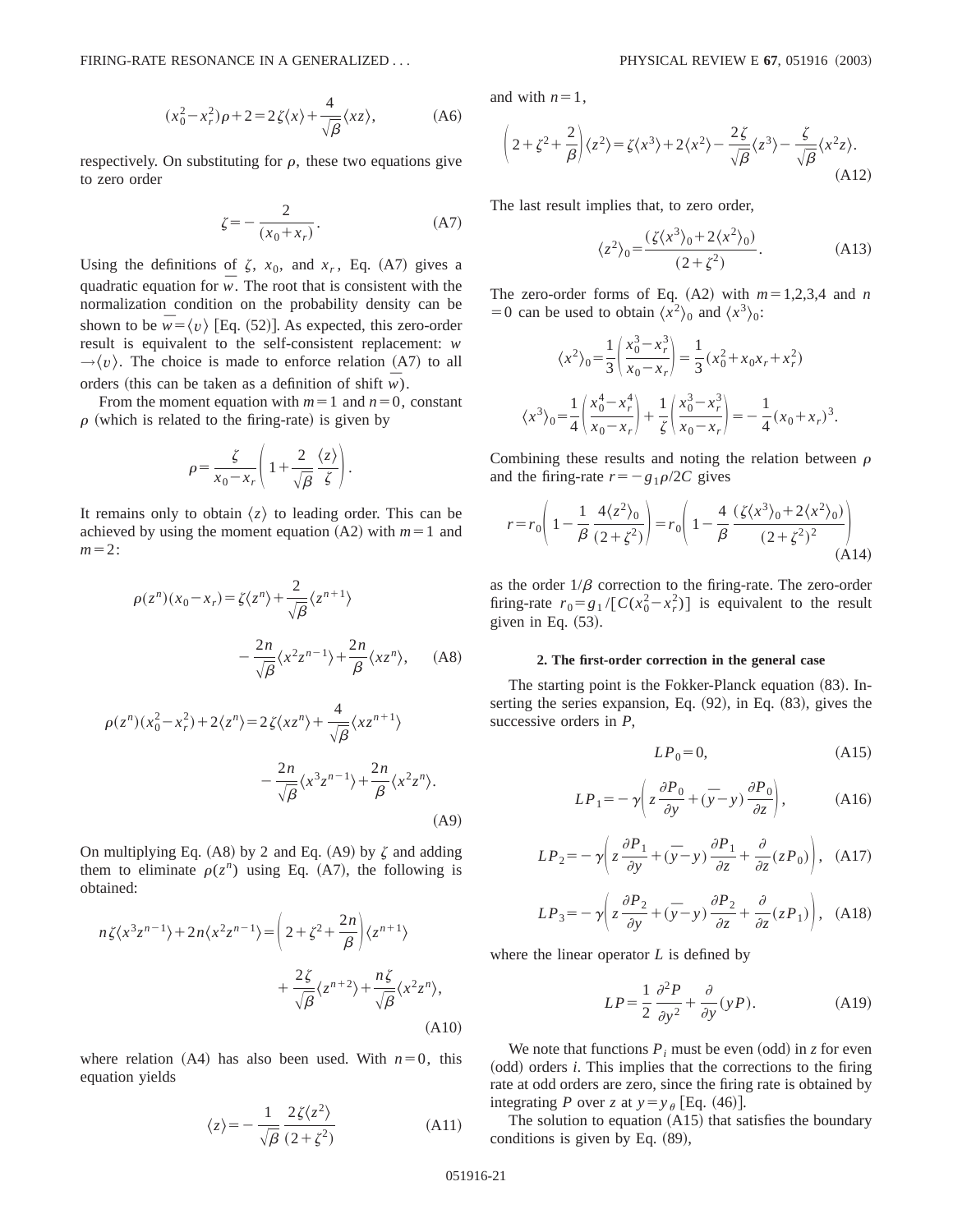$$
(x_0^2 - x_r^2)\rho + 2 = 2\zeta(x) + \frac{4}{\sqrt{\beta}}\langle xz\rangle,
$$
 (A6)

respectively. On substituting for  $\rho$ , these two equations give to zero order

$$
\zeta = -\frac{2}{(x_0 + x_r)}.\tag{A7}
$$

Using the definitions of  $\zeta$ ,  $x_0$ , and  $x_r$ , Eq. (A7) gives a quadratic equation for  $\overline{w}$ . The root that is consistent with the normalization condition on the probability density can be shown to be  $\overline{w} = \langle v \rangle$  [Eq. (52)]. As expected, this zero-order result is equivalent to the self-consistent replacement: *w*  $\rightarrow$   $\langle v \rangle$ . The choice is made to enforce relation (A7) to all orders (this can be taken as a definition of shift  $\overline{w}$ ).

From the moment equation with  $m=1$  and  $n=0$ , constant  $\rho$  (which is related to the firing-rate) is given by

$$
\rho = \frac{\zeta}{x_0 - x_r} \left( 1 + \frac{2}{\sqrt{\beta}} \frac{\langle z \rangle}{\zeta} \right).
$$

It remains only to obtain  $\langle z \rangle$  to leading order. This can be achieved by using the moment equation  $(A2)$  with  $m=1$  and  $m=2$ :

$$
\rho(z^n)(x_0 - x_r) = \zeta \langle z^n \rangle + \frac{2}{\sqrt{\beta}} \langle z^{n+1} \rangle
$$
  

$$
- \frac{2n}{\sqrt{\beta}} \langle x^2 z^{n-1} \rangle + \frac{2n}{\beta} \langle x z^n \rangle, \quad \text{(A8)}
$$
  

$$
\rho(z^n)(x_0^2 - x_r^2) + 2\langle z^n \rangle = 2\zeta \langle x z^n \rangle + \frac{4}{\sqrt{\beta}} \langle x z^{n+1} \rangle
$$
  

$$
- \frac{2n}{\sqrt{\beta}} \langle x^3 z^{n-1} \rangle + \frac{2n}{\beta} \langle x^2 z^n \rangle.
$$

On multiplying Eq. (A8) by 2 and Eq. (A9) by  $\zeta$  and adding them to eliminate  $\rho(z^n)$  using Eq. (A7), the following is obtained:

$$
n\zeta\langle x^3 z^{n-1}\rangle + 2n\langle x^2 z^{n-1}\rangle = \left(2 + \zeta^2 + \frac{2n}{\beta}\right)\langle z^{n+1}\rangle
$$

$$
+ \frac{2\zeta}{\sqrt{\beta}}\langle z^{n+2}\rangle + \frac{n\zeta}{\sqrt{\beta}}\langle x^2 z^n\rangle,
$$
(A10)

where relation  $(A4)$  has also been used. With  $n=0$ , this equation yields

$$
\langle z \rangle = -\frac{1}{\sqrt{\beta}} \frac{2\zeta \langle z^2 \rangle}{(2 + \zeta^2)}
$$
 (A11)

and with  $n=1$ ,

$$
\left(2 + \zeta^2 + \frac{2}{\beta}\right)\langle z^2 \rangle = \zeta\langle x^3 \rangle + 2\langle x^2 \rangle - \frac{2\zeta}{\sqrt{\beta}}\langle z^3 \rangle - \frac{\zeta}{\sqrt{\beta}}\langle x^2 z \rangle.
$$
\n(A12)

The last result implies that, to zero order,

$$
\langle z^2 \rangle_0 = \frac{(\zeta \langle x^3 \rangle_0 + 2 \langle x^2 \rangle_0)}{(2 + \zeta^2)}.
$$
 (A13)

The zero-order forms of Eq.  $(A2)$  with  $m=1,2,3,4$  and *n* = 0 can be used to obtain  $\langle x^2 \rangle_0$  and  $\langle x^3 \rangle_0$ :

$$
\langle x^2 \rangle_0 = \frac{1}{3} \left( \frac{x_0^3 - x_r^3}{x_0 - x_r} \right) = \frac{1}{3} (x_0^2 + x_0 x_r + x_r^2)
$$

$$
\langle x^3 \rangle_0 = \frac{1}{4} \left( \frac{x_0^4 - x_r^4}{x_0 - x_r} \right) + \frac{1}{\zeta} \left( \frac{x_0^3 - x_r^3}{x_0 - x_r} \right) = -\frac{1}{4} (x_0 + x_r)^3.
$$

Combining these results and noting the relation between  $\rho$ and the firing-rate  $r=-g_1\rho/2C$  gives

$$
r = r_0 \left( 1 - \frac{1}{\beta} \frac{4 \langle z^2 \rangle_0}{(2 + \zeta^2)} \right) = r_0 \left( 1 - \frac{4}{\beta} \frac{(\zeta \langle x^3 \rangle_0 + 2 \langle x^2 \rangle_0)}{(2 + \zeta^2)^2} \right)
$$
(A14)

as the order  $1/\beta$  correction to the firing-rate. The zero-order firing-rate  $r_0 = g_1 / [C(x_0^2 - x_r^2)]$  is equivalent to the result given in Eq.  $(53)$ .

### **2. The first-order correction in the general case**

The starting point is the Fokker-Planck equation  $(83)$ . Inserting the series expansion, Eq.  $(92)$ , in Eq.  $(83)$ , gives the successive orders in *P*,

$$
LP_0 = 0,\tag{A15}
$$

$$
LP_1 = -\gamma \left( z \frac{\partial P_0}{\partial y} + (\bar{y} - y) \frac{\partial P_0}{\partial z} \right), \tag{A16}
$$

$$
LP_2 = -\gamma \left( z \frac{\partial P_1}{\partial y} + (\bar{y} - y) \frac{\partial P_1}{\partial z} + \frac{\partial}{\partial z} (z P_0) \right), \quad (A17)
$$

$$
LP_3 = -\gamma \left( z \frac{\partial P_2}{\partial y} + (\bar{y} - y) \frac{\partial P_2}{\partial z} + \frac{\partial}{\partial z} (z P_1) \right), \quad (A18)
$$

where the linear operator *L* is defined by

$$
LP = \frac{1}{2} \frac{\partial^2 P}{\partial y^2} + \frac{\partial}{\partial y} (yP). \tag{A19}
$$

We note that functions  $P_i$  must be even (odd) in *z* for even (odd) orders *i*. This implies that the corrections to the firing rate at odd orders are zero, since the firing rate is obtained by integrating *P* over *z* at  $y = y_{\theta}$  [Eq. (46)].

The solution to equation  $(A15)$  that satisfies the boundary conditions is given by Eq.  $(89)$ ,

 $(A9)$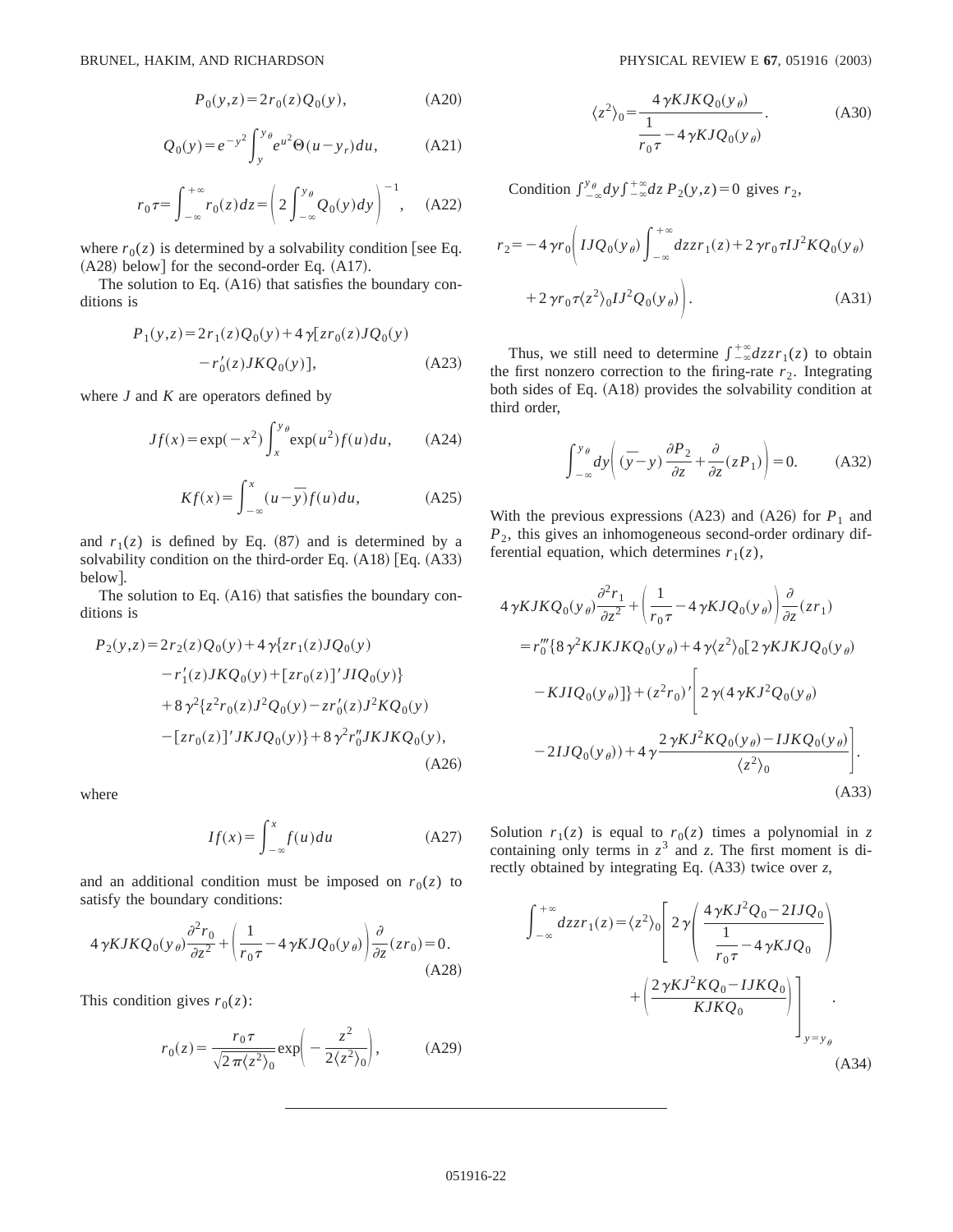$$
P_0(y, z) = 2r_0(z)Q_0(y), \tag{A20}
$$

$$
Q_0(y) = e^{-y^2} \int_{y}^{y_{\theta}} e^{u^2} \Theta(u - y_r) du,
$$
 (A21)

$$
r_0 \tau = \int_{-\infty}^{+\infty} r_0(z) dz = \left( 2 \int_{-\infty}^{y_\theta} Q_0(y) dy \right)^{-1}, \quad \text{(A22)}
$$

where  $r_0(z)$  is determined by a solvability condition [see Eq.  $(A28)$  below] for the second-order Eq.  $(A17)$ .

The solution to Eq.  $(A16)$  that satisfies the boundary conditions is

$$
P_1(y,z) = 2r_1(z)Q_0(y) + 4\gamma[zr_0(z)JQ_0(y) - r'_0(z)JKQ_0(y)],
$$
 (A23)

where *J* and *K* are operators defined by

$$
Jf(x) = \exp(-x^2) \int_x^{y_\theta} \exp(u^2) f(u) du, \qquad (A24)
$$

$$
Kf(x) = \int_{-\infty}^{x} (u - \overline{y}) f(u) du,
$$
 (A25)

and  $r_1(z)$  is defined by Eq. (87) and is determined by a solvability condition on the third-order Eq.  $(A18)$  [Eq.  $(A33)$ ] below..

The solution to Eq.  $(A16)$  that satisfies the boundary conditions is

$$
P_2(y,z) = 2r_2(z)Q_0(y) + 4\gamma\{zr_1(z)JQ_0(y) - r'_1(z)JKQ_0(y) + [zr_0(z)]'JIQ_0(y)\} + 8\gamma^2\{z^2r_0(z)J^2Q_0(y) - zr'_0(z)J^2KQ_0(y) - [zr_0(z)]'JKJQ_0(y)\} + 8\gamma^2r''_0JKJKQ_0(y),
$$
\n(A26)

where

$$
If(x) = \int_{-\infty}^{x} f(u) du
$$
 (A27)

and an additional condition must be imposed on  $r_0(z)$  to satisfy the boundary conditions:

$$
4\gamma KJKQ_0(y_\theta)\frac{\partial^2 r_0}{\partial z^2} + \left(\frac{1}{r_0\tau} - 4\gamma KJQ_0(y_\theta)\right)\frac{\partial}{\partial z}(zr_0) = 0.
$$
\n(A28)

This condition gives  $r_0(z)$ :

$$
r_0(z) = \frac{r_0 \tau}{\sqrt{2\pi \langle z^2 \rangle_0}} \exp\left(-\frac{z^2}{2\langle z^2 \rangle_0}\right), \quad (A29)
$$

$$
\langle z^2 \rangle_0 = \frac{4 \gamma KJKQ_0(y_\theta)}{\frac{1}{r_0 \tau} - 4 \gamma KJQ_0(y_\theta)}.
$$
 (A30)

Condition  $\int_{-\infty}^{y_\theta} dy \int_{-\infty}^{+\infty} dz P_2(y,z) = 0$  gives  $r_2$ ,

$$
r_2 = -4 \gamma r_0 \left( I J Q_0(y_\theta) \int_{-\infty}^{+\infty} dz z r_1(z) + 2 \gamma r_0 \tau I J^2 K Q_0(y_\theta) \right)
$$
  
+2 \gamma r\_0 \tau \langle z^2 \rangle\_0 I J^2 Q\_0(y\_\theta) . \t(A31)

Thus, we still need to determine  $\int_{-\infty}^{+\infty} dz z r_1(z)$  to obtain the first nonzero correction to the firing-rate  $r<sub>2</sub>$ . Integrating both sides of Eq.  $(A18)$  provides the solvability condition at third order,

$$
\int_{-\infty}^{y_{\theta}} dy \left( (\bar{y} - y) \frac{\partial P_2}{\partial z} + \frac{\partial}{\partial z} (z P_1) \right) = 0.
$$
 (A32)

With the previous expressions  $(A23)$  and  $(A26)$  for  $P_1$  and *P*2, this gives an inhomogeneous second-order ordinary differential equation, which determines  $r_1(z)$ ,

$$
4 \gamma KJKQ_0(y_\theta) \frac{\partial^2 r_1}{\partial z^2} + \left(\frac{1}{r_0 \tau} - 4 \gamma KJQ_0(y_\theta)\right) \frac{\partial}{\partial z}(z r_1)
$$
  
\n
$$
= r_0''' \{8 \gamma^2 KJKJKQ_0(y_\theta) + 4 \gamma \langle z^2 \rangle_0 [2 \gamma KJKJQ_0(y_\theta) - KJIQ_0(y_\theta)]\} + (z^2 r_0)' \left[2 \gamma (4 \gamma KJ^2 Q_0(y_\theta) -1 JKQ_0(y_\theta) -2IJQ_0(y_\theta) + 4 \gamma \frac{2 \gamma KJ^2 KQ_0(y_\theta) -IJKQ_0(y_\theta)}{\langle z^2 \rangle_0}\right].
$$
  
\n(A33)

Solution  $r_1(z)$  is equal to  $r_0(z)$  times a polynomial in z containing only terms in  $z^3$  and *z*. The first moment is directly obtained by integrating Eq.  $(A33)$  twice over *z*,

$$
\int_{-\infty}^{+\infty} dz z r_1(z) = \langle z^2 \rangle_0 \left[ 2 \gamma \left( \frac{4 \gamma K J^2 Q_0 - 2 I J Q_0}{\frac{1}{r_0 \tau} - 4 \gamma K J Q_0} \right) + \left( \frac{2 \gamma K J^2 K Q_0 - I J K Q_0}{K J K Q_0} \right) \right]_{y = y_\theta}
$$
\n(A34)